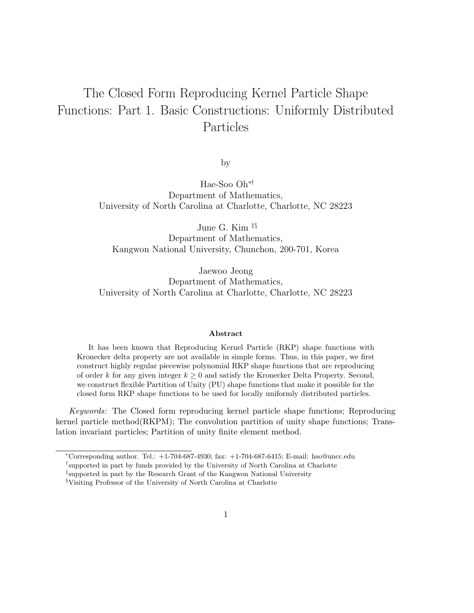# The Closed Form Reproducing Kernel Particle Shape Functions: Part 1. Basic Constructions: Uniformly Distributed Particles

by

Hae-Soo Oh∗† Department of Mathematics, University of North Carolina at Charlotte, Charlotte, NC 28223

June G. Kim ‡§

Department of Mathematics, Kangwon National University, Chunchon, 200-701, Korea

Jaewoo Jeong Department of Mathematics, University of North Carolina at Charlotte, Charlotte, NC 28223

#### Abstract

It has been known that Reproducing Kernel Particle (RKP) shape functions with Kronecker delta property are not available in simple forms. Thus, in this paper, we first construct highly regular piecewise polynomial RKP shape functions that are reproducing of order k for any given integer  $k > 0$  and satisfy the Kronecker Delta Property. Second, we construct flexible Partition of Unity (PU) shape functions that make it possible for the closed form RKP shape functions to be used for locally uniformly distributed particles.

Keywords: The Closed form reproducing kernel particle shape functions; Reproducing kernel particle method(RKPM); The convolution partition of unity shape functions; Translation invariant particles; Partition of unity finite element method.

<sup>∗</sup>Corresponding author. Tel.: +1-704-687-4930; fax: +1-704-687-6415; E-mail: hso@uncc.edu

<sup>†</sup> supported in part by funds provided by the University of North Carolina at Charlotte

<sup>‡</sup> supported in part by the Research Grant of the Kangwon National University

<sup>§</sup>Visiting Professor of the University of North Carolina at Charlotte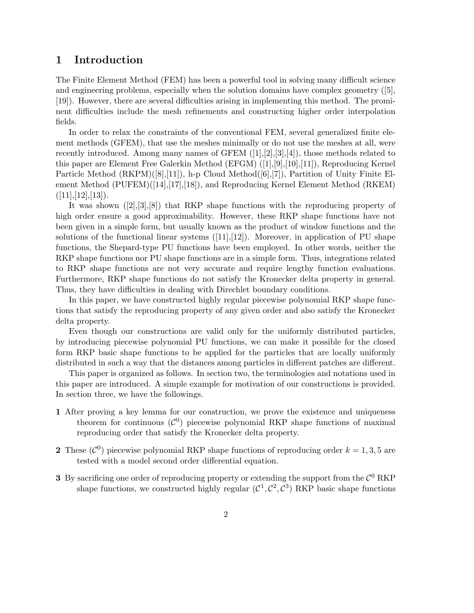# 1 Introduction

The Finite Element Method (FEM) has been a powerful tool in solving many difficult science and engineering problems, especially when the solution domains have complex geometry ([5], [19]). However, there are several difficulties arising in implementing this method. The prominent difficulties include the mesh refinements and constructing higher order interpolation fields.

In order to relax the constraints of the conventional FEM, several generalized finite element methods (GFEM), that use the meshes minimally or do not use the meshes at all, were recently introduced. Among many names of GFEM  $([1],[2],[3],[4])$ , those methods related to this paper are Element Free Galerkin Method (EFGM) ([1],[9],[10],[11]), Reproducing Kernel Particle Method (RKPM)([8],[11]), h-p Cloud Method([6],[7]), Partition of Unity Finite Element Method (PUFEM)([14],[17],[18]), and Reproducing Kernel Element Method (RKEM)  $([11],[12],[13]).$ 

It was shown ([2],[3],[8]) that RKP shape functions with the reproducing property of high order ensure a good approximability. However, these RKP shape functions have not been given in a simple form, but usually known as the product of window functions and the solutions of the functional linear systems  $([11],[12])$ . Moreover, in application of PU shape functions, the Shepard-type PU functions have been employed. In other words, neither the RKP shape functions nor PU shape functions are in a simple form. Thus, integrations related to RKP shape functions are not very accurate and require lengthy function evaluations. Furthermore, RKP shape functions do not satisfy the Kronecker delta property in general. Thus, they have difficulties in dealing with Direchlet boundary conditions.

In this paper, we have constructed highly regular piecewise polynomial RKP shape functions that satisfy the reproducing property of any given order and also satisfy the Kronecker delta property.

Even though our constructions are valid only for the uniformly distributed particles, by introducing piecewise polynomial PU functions, we can make it possible for the closed form RKP basic shape functions to be applied for the particles that are locally uniformly distributed in such a way that the distances among particles in different patches are different.

This paper is organized as follows. In section two, the terminologies and notations used in this paper are introduced. A simple example for motivation of our constructions is provided. In section three, we have the followings.

- 1 After proving a key lemma for our construction, we prove the existence and uniqueness theorem for continuous  $(\mathcal{C}^0)$  piecewise polynomial RKP shape functions of maximal reproducing order that satisfy the Kronecker delta property.
- **2** These  $(\mathcal{C}^0)$  piecewise polynomial RKP shape functions of reproducing order  $k = 1, 3, 5$  are tested with a model second order differential equation.
- 3 By sacrificing one order of reproducing property or extending the support from the  $\mathcal{C}^0$  RKP shape functions, we constructed highly regular  $(\mathcal{C}^1, \mathcal{C}^2, \mathcal{C}^3)$  RKP basic shape functions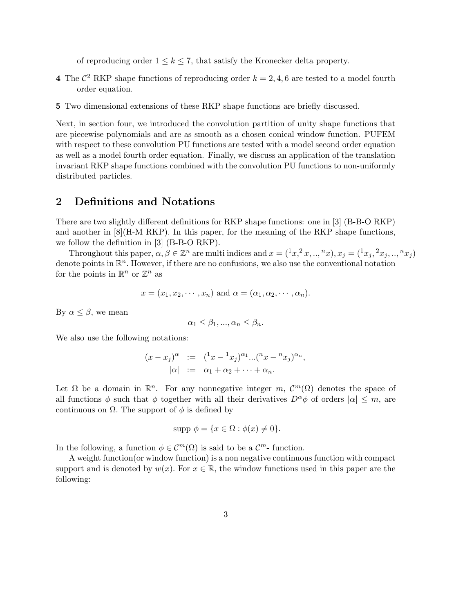of reproducing order  $1 \leq k \leq 7$ , that satisfy the Kronecker delta property.

- 4 The  $\mathcal{C}^2$  RKP shape functions of reproducing order  $k = 2, 4, 6$  are tested to a model fourth order equation.
- 5 Two dimensional extensions of these RKP shape functions are briefly discussed.

Next, in section four, we introduced the convolution partition of unity shape functions that are piecewise polynomials and are as smooth as a chosen conical window function. PUFEM with respect to these convolution PU functions are tested with a model second order equation as well as a model fourth order equation. Finally, we discuss an application of the translation invariant RKP shape functions combined with the convolution PU functions to non-uniformly distributed particles.

# 2 Definitions and Notations

There are two slightly different definitions for RKP shape functions: one in [3] (B-B-O RKP) and another in  $[8](H-M RKP)$ . In this paper, for the meaning of the RKP shape functions, we follow the definition in [3] (B-B-O RKP).

Throughout this paper,  $\alpha, \beta \in \mathbb{Z}^n$  are multi indices and  $x = (x^2, x, \dots, x^2, x, y^2, \dots, x^2, y^2, \dots, y^2, \dots, y^2, \dots, y^2, \dots, y^2, \dots, y^2, \dots, y^2, \dots, y^2, \dots, y^2, \dots, y^2, \dots, y^2, \dots, y^2, \dots, y^2, \dots, y^2, \dots, y^2, \dots, y^2, \dots, y^2, \dots, y^2, \dots, y^$ denote points in  $\mathbb{R}^n$ . However, if there are no confusions, we also use the conventional notation for the points in  $\mathbb{R}^n$  or  $\mathbb{Z}^n$  as

$$
x = (x_1, x_2, \cdots, x_n)
$$
 and  $\alpha = (\alpha_1, \alpha_2, \cdots, \alpha_n)$ .

By  $\alpha \leq \beta$ , we mean

$$
\alpha_1 \leq \beta_1, ..., \alpha_n \leq \beta_n.
$$

We also use the following notations:

$$
(x - x_j)^{\alpha} := (x - x_j)^{\alpha_1} ... (x - x_j)^{\alpha_n},
$$
  
\n
$$
|\alpha| := \alpha_1 + \alpha_2 + \dots + \alpha_n.
$$

Let  $\Omega$  be a domain in  $\mathbb{R}^n$ . For any nonnegative integer m,  $\mathcal{C}^m(\Omega)$  denotes the space of all functions  $\phi$  such that  $\phi$  together with all their derivatives  $D^{\alpha}\phi$  of orders  $|\alpha| \leq m$ , are continuous on  $\Omega$ . The support of  $\phi$  is defined by

$$
supp \phi = \overline{\{x \in \Omega : \phi(x) \neq 0\}}.
$$

In the following, a function  $\phi \in \mathcal{C}^m(\Omega)$  is said to be a  $\mathcal{C}^m$ -function.

A weight function(or window function) is a non negative continuous function with compact support and is denoted by  $w(x)$ . For  $x \in \mathbb{R}$ , the window functions used in this paper are the following: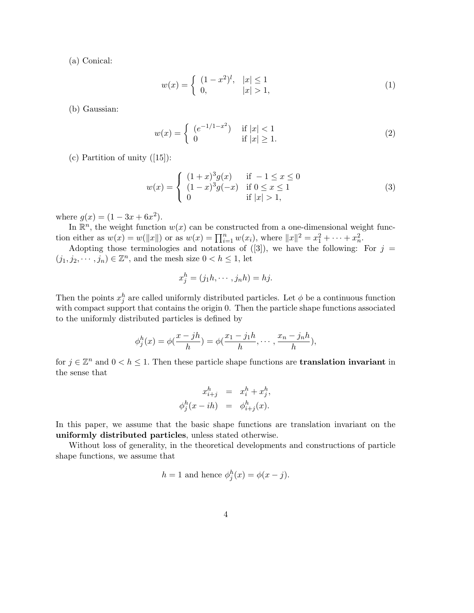(a) Conical:

$$
w(x) = \begin{cases} (1 - x^2)^l, & |x| \le 1 \\ 0, & |x| > 1, \end{cases}
$$
 (1)

(b) Gaussian:

$$
w(x) = \begin{cases} (e^{-1/1-x^2}) & \text{if } |x| < 1\\ 0 & \text{if } |x| \ge 1. \end{cases}
$$
 (2)

(c) Partition of unity ([15]):

$$
w(x) = \begin{cases} (1+x)^{3}g(x) & \text{if } -1 \leq x \leq 0\\ (1-x)^{3}g(-x) & \text{if } 0 \leq x \leq 1\\ 0 & \text{if } |x| > 1, \end{cases}
$$
(3)

where  $g(x) = (1 - 3x + 6x^2)$ .

In  $\mathbb{R}^n$ , the weight function  $w(x)$  can be constructed from a one-dimensional weight function either as  $w(x) = w(||x||)$  or as  $w(x) = \prod_{i=1}^{n} w(x_i)$ , where  $||x||^2 = x_1^2 + \cdots + x_n^2$ .

Adopting those terminologies and notations of  $([3])$ , we have the following: For  $j =$  $(j_1, j_2, \dots, j_n) \in \mathbb{Z}^n$ , and the mesh size  $0 < h \leq 1$ , let

$$
x_j^h = (j_1h, \cdots, j_nh) = hj.
$$

Then the points  $x_j^h$  are called uniformly distributed particles. Let  $\phi$  be a continuous function with compact support that contains the origin 0. Then the particle shape functions associated to the uniformly distributed particles is defined by

$$
\phi_j^h(x) = \phi(\frac{x - jh}{h}) = \phi(\frac{x_1 - j_1h}{h}, \cdots, \frac{x_n - j_nh}{h}),
$$

for  $j \in \mathbb{Z}^n$  and  $0 < h \leq 1$ . Then these particle shape functions are **translation invariant** in the sense that

$$
x_{i+j}^h = x_i^h + x_j^h,
$$
  

$$
\phi_j^h(x - ih) = \phi_{i+j}^h(x).
$$

In this paper, we assume that the basic shape functions are translation invariant on the uniformly distributed particles, unless stated otherwise.

Without loss of generality, in the theoretical developments and constructions of particle shape functions, we assume that

$$
h = 1
$$
 and hence  $\phi_j^h(x) = \phi(x - j)$ .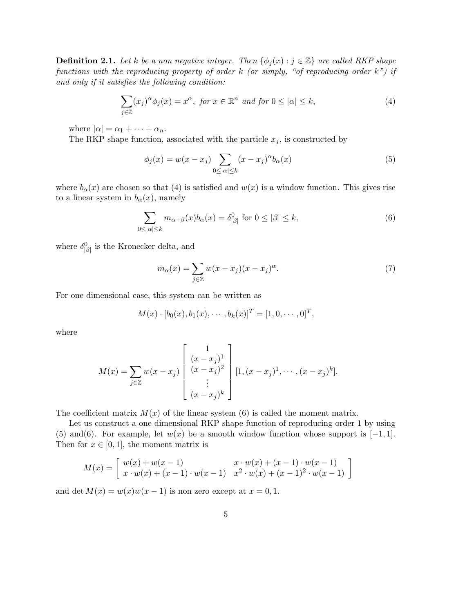**Definition 2.1.** Let k be a non negative integer. Then  $\{\phi_i(x) : j \in \mathbb{Z}\}\$  are called RKP shape functions with the reproducing property of order  $k$  (or simply, "of reproducing order  $k$ ") if and only if it satisfies the following condition:

$$
\sum_{j\in\mathbb{Z}} (x_j)^{\alpha} \phi_j(x) = x^{\alpha}, \text{ for } x \in \mathbb{R}^n \text{ and for } 0 \leq |\alpha| \leq k,
$$
 (4)

where  $|\alpha| = \alpha_1 + \cdots + \alpha_n$ .

The RKP shape function, associated with the particle  $x_j$ , is constructed by

$$
\phi_j(x) = w(x - x_j) \sum_{0 \leq |\alpha| \leq k} (x - x_j)^{\alpha} b_{\alpha}(x) \tag{5}
$$

where  $b_{\alpha}(x)$  are chosen so that (4) is satisfied and  $w(x)$  is a window function. This gives rise to a linear system in  $b_{\alpha}(x)$ , namely

$$
\sum_{0 \le |\alpha| \le k} m_{\alpha+\beta}(x) b_{\alpha}(x) = \delta^0_{|\beta|} \text{ for } 0 \le |\beta| \le k,
$$
\n(6)

where  $\delta^0_{\vert\beta\vert}$  is the Kronecker delta, and

$$
m_{\alpha}(x) = \sum_{j \in \mathbb{Z}} w(x - x_j)(x - x_j)^{\alpha}.
$$
 (7)

For one dimensional case, this system can be written as

$$
M(x) \cdot [b_0(x), b_1(x), \cdots, b_k(x)]^T = [1, 0, \cdots, 0]^T,
$$

where

$$
M(x) = \sum_{j \in \mathbb{Z}} w(x - x_j) \begin{bmatrix} 1 \\ (x - x_j)^1 \\ (x - x_j)^2 \\ \vdots \\ (x - x_j)^k \end{bmatrix} [1, (x - x_j)^1, \cdots, (x - x_j)^k].
$$

The coefficient matrix  $M(x)$  of the linear system (6) is called the moment matrix.

Let us construct a one dimensional RKP shape function of reproducing order 1 by using (5) and(6). For example, let  $w(x)$  be a smooth window function whose support is  $[-1, 1]$ . Then for  $x \in [0, 1]$ , the moment matrix is

$$
M(x) = \begin{bmatrix} w(x) + w(x - 1) & x \cdot w(x) + (x - 1) \cdot w(x - 1) \\ x \cdot w(x) + (x - 1) \cdot w(x - 1) & x^2 \cdot w(x) + (x - 1)^2 \cdot w(x - 1) \end{bmatrix}
$$

and det  $M(x) = w(x)w(x - 1)$  is non zero except at  $x = 0, 1$ .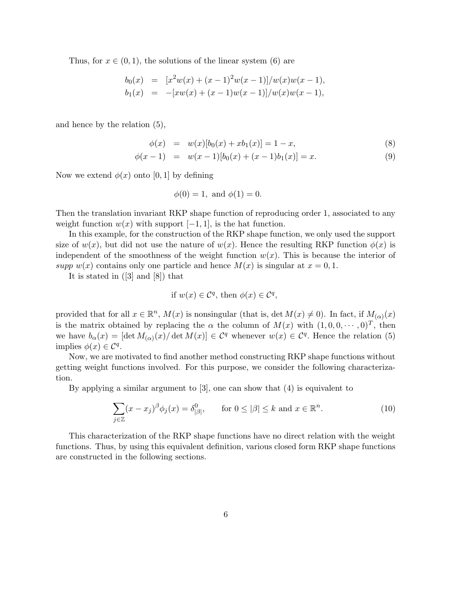Thus, for  $x \in (0, 1)$ , the solutions of the linear system (6) are

$$
b_0(x) = [x^2w(x) + (x-1)^2w(x-1)]/w(x)w(x-1),
$$
  
\n
$$
b_1(x) = -[xw(x) + (x-1)w(x-1)]/w(x)w(x-1),
$$

and hence by the relation (5),

$$
\phi(x) = w(x)[b_0(x) + xb_1(x)] = 1 - x,\tag{8}
$$

$$
\phi(x-1) = w(x-1)[b_0(x) + (x-1)b_1(x)] = x.
$$
\n(9)

Now we extend  $\phi(x)$  onto [0, 1] by defining

$$
\phi(0) = 1
$$
, and  $\phi(1) = 0$ .

Then the translation invariant RKP shape function of reproducing order 1, associated to any weight function  $w(x)$  with support  $[-1, 1]$ , is the hat function.

In this example, for the construction of the RKP shape function, we only used the support size of  $w(x)$ , but did not use the nature of  $w(x)$ . Hence the resulting RKP function  $\phi(x)$  is independent of the smoothness of the weight function  $w(x)$ . This is because the interior of supp  $w(x)$  contains only one particle and hence  $M(x)$  is singular at  $x = 0, 1$ .

It is stated in ([3] and [8]) that

if 
$$
w(x) \in C^q
$$
, then  $\phi(x) \in C^q$ ,

provided that for all  $x \in \mathbb{R}^n$ ,  $M(x)$  is nonsingular (that is, det  $M(x) \neq 0$ ). In fact, if  $M_{(\alpha)}(x)$ is the matrix obtained by replacing the  $\alpha$  the column of  $M(x)$  with  $(1, 0, 0, \dots, 0)^T$ , then we have  $b_{\alpha}(x) = [\det M_{(\alpha)}(x) / \det M(x)] \in C^{q}$  whenever  $w(x) \in C^{q}$ . Hence the relation (5) implies  $\phi(x) \in \mathcal{C}^q$ .

Now, we are motivated to find another method constructing RKP shape functions without getting weight functions involved. For this purpose, we consider the following characterization.

By applying a similar argument to [3], one can show that (4) is equivalent to

$$
\sum_{j\in\mathbb{Z}} (x - x_j)^{\beta} \phi_j(x) = \delta^0_{|\beta|}, \quad \text{for } 0 \le |\beta| \le k \text{ and } x \in \mathbb{R}^n. \tag{10}
$$

This characterization of the RKP shape functions have no direct relation with the weight functions. Thus, by using this equivalent definition, various closed form RKP shape functions are constructed in the following sections.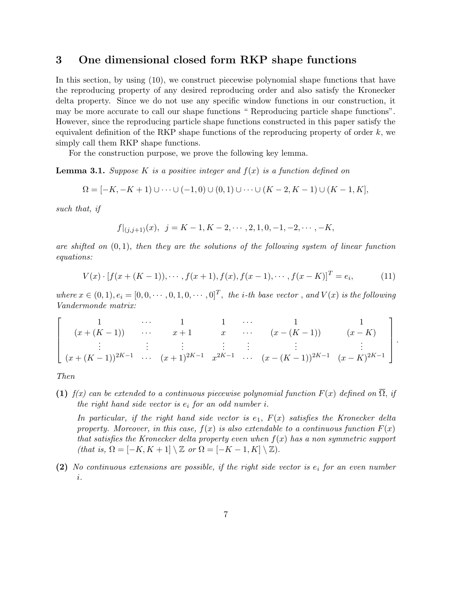## 3 One dimensional closed form RKP shape functions

In this section, by using (10), we construct piecewise polynomial shape functions that have the reproducing property of any desired reproducing order and also satisfy the Kronecker delta property. Since we do not use any specific window functions in our construction, it may be more accurate to call our shape functions " Reproducing particle shape functions". However, since the reproducing particle shape functions constructed in this paper satisfy the equivalent definition of the RKP shape functions of the reproducing property of order  $k$ , we simply call them RKP shape functions.

For the construction purpose, we prove the following key lemma.

**Lemma 3.1.** Suppose K is a positive integer and  $f(x)$  is a function defined on

$$
\Omega = [-K, -K + 1) \cup \cdots \cup (-1, 0) \cup (0, 1) \cup \cdots \cup (K - 2, K - 1) \cup (K - 1, K],
$$

such that, if

$$
f|_{(j,j+1)}(x), \ \ j = K-1, K-2, \cdots, 2, 1, 0, -1, -2, \cdots, -K,
$$

are shifted on  $(0, 1)$ , then they are the solutions of the following system of linear function equations:

$$
V(x) \cdot [f(x + (K - 1)), \cdots, f(x + 1), f(x), f(x - 1), \cdots, f(x - K)]^{T} = e_{i},
$$
\n(11)

where  $x \in (0,1), e_i = [0,0,\cdots,0,1,0,\cdots,0]^T$ , the *i*-th base vector, and  $V(x)$  is the following Vandermonde matrix:

$$
\begin{bmatrix}\n1 & \cdots & 1 & 1 & \cdots & 1 & 1 \\
(x + (K - 1)) & \cdots & x + 1 & x & \cdots & (x - (K - 1)) & (x - K) \\
\vdots & \vdots & \vdots & \vdots & \vdots & \vdots \\
(x + (K - 1))^{2K - 1} & \cdots & (x + 1)^{2K - 1} & x^{2K - 1} & \cdots & (x - (K - 1))^{2K - 1} & (x - K)^{2K - 1}\n\end{bmatrix}.
$$

Then

(1) f(x) can be extended to a continuous piecewise polynomial function  $F(x)$  defined on  $\Omega$ , if the right hand side vector is  $e_i$  for an odd number i.

In particular, if the right hand side vector is  $e_1$ ,  $F(x)$  satisfies the Kronecker delta property. Moreover, in this case,  $f(x)$  is also extendable to a continuous function  $F(x)$ that satisfies the Kronecker delta property even when  $f(x)$  has a non symmetric support (that is,  $\Omega = [-K, K + 1] \setminus \mathbb{Z}$  or  $\Omega = [-K - 1, K] \setminus \mathbb{Z}$ ).

(2) No continuous extensions are possible, if the right side vector is  $e_i$  for an even number i.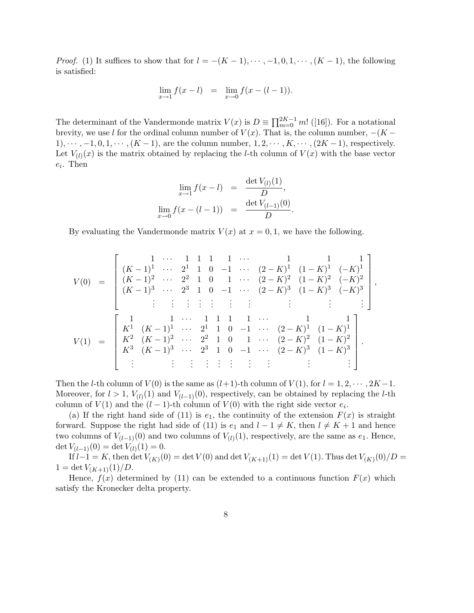*Proof.* (1) It suffices to show that for  $l = -(K-1), \dots, -1, 0, 1, \dots, (K-1)$ , the following is satisfied:

$$
\lim_{x \to 1} f(x - l) = \lim_{x \to 0} f(x - (l - 1)).
$$

The determinant of the Vandermonde matrix  $V(x)$  is  $D \equiv \prod_{m=0}^{2K-1} m!$  ([16]). For a notational brevity, we use l for the ordinal column number of  $V(x)$ . That is, the column number,  $-(K 1), \cdots, -1, 0, 1, \cdots, (K-1)$ , are the column number,  $1, 2, \cdots, K, \cdots, (2K-1)$ , respectively. Let  $V_{(l)}(x)$  is the matrix obtained by replacing the *l*-th column of  $V(x)$  with the base vector  $e_i$ . Then

$$
\lim_{x \to 1} f(x - l) = \frac{\det V_{(l)}(1)}{D},
$$
  

$$
\lim_{x \to 0} f(x - (l - 1)) = \frac{\det V_{(l-1)}(0)}{D}.
$$

By evaluating the Vandermonde matrix  $V(x)$  at  $x = 0, 1$ , we have the following.

$$
V(0) = \begin{bmatrix} 1 & \cdots & 1 & 1 & 1 & 1 & \cdots & 1 & 1 & 1 & 1 \\ (K-1)^1 & \cdots & 2^1 & 1 & 0 & -1 & \cdots & (2-K)^1 & (1-K)^1 & (-K)^1 \\ (K-1)^2 & \cdots & 2^2 & 1 & 0 & 1 & \cdots & (2-K)^2 & (1-K)^2 & (-K)^2 \\ (K-1)^3 & \cdots & 2^3 & 1 & 0 & -1 & \cdots & (2-K)^3 & (1-K)^3 & (-K)^3 \\ \vdots & \vdots & \vdots & \vdots & \vdots & \vdots & \vdots & \vdots & \vdots & \vdots \\ K^1 & (K-1)^1 & \cdots & 2^1 & 1 & 0 & -1 & \cdots & (2-K)^1 & (1-K)^1 \\ K^2 & (K-1)^2 & \cdots & 2^2 & 1 & 0 & 1 & \cdots & (2-K)^2 & (1-K)^2 \\ K^3 & (K-1)^3 & \cdots & 2^3 & 1 & 0 & -1 & \cdots & (2-K)^3 & (1-K)^3 \\ \vdots & \vdots & \vdots & \vdots & \vdots & \vdots & \vdots & \vdots & \vdots \end{bmatrix}.
$$

,

Then the *l*-th column of  $V(0)$  is the same as  $(l+1)$ -th column of  $V(1)$ , for  $l = 1, 2, \dots, 2K-1$ . Moreover, for  $l > 1$ ,  $V_{(l)}(1)$  and  $V_{(l-1)}(0)$ , respectively, can be obtained by replacing the *l*-th column of  $V(1)$  and the  $(l-1)$ -th column of  $V(0)$  with the right side vector  $e_i$ .

(a) If the right hand side of (11) is  $e_1$ , the continuity of the extension  $F(x)$  is straight forward. Suppose the right had side of (11) is  $e_1$  and  $l - 1 \neq K$ , then  $l \neq K + 1$  and hence two columns of  $V_{(l-1)}(0)$  and two columns of  $V_{(l)}(1)$ , respectively, are the same as  $e_1$ . Hence, det  $V_{(l-1)}(0) = \det V_{(l)}(1) = 0.$ 

If  $l-1 = K$ , then det  $V_{(K)}(0) = \det V(0)$  and  $\det V_{(K+1)}(1) = \det V(1)$ . Thus  $\det V_{(K)}(0)/D =$  $1 = \det V_{(K+1)}(1)/D.$ 

Hence,  $f(x)$  determined by (11) can be extended to a continuous function  $F(x)$  which satisfy the Kronecker delta property.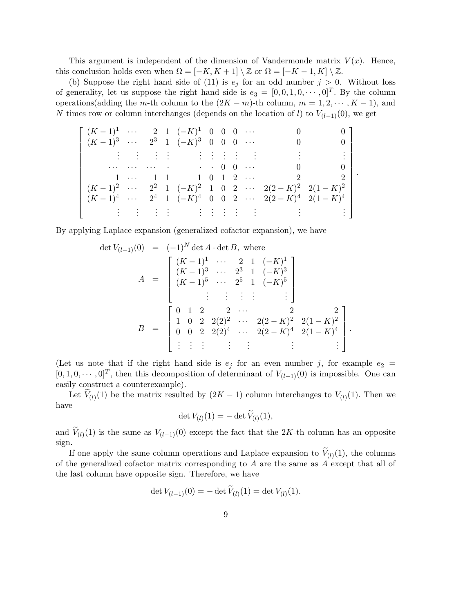This argument is independent of the dimension of Vandermonde matrix  $V(x)$ . Hence, this conclusion holds even when  $\Omega = [-K, K+1] \setminus \mathbb{Z}$  or  $\Omega = [-K-1, K] \setminus \mathbb{Z}$ .

(b) Suppose the right hand side of (11) is  $e_j$  for an odd number  $j > 0$ . Without loss of generality, let us suppose the right hand side is  $e_3 = [0, 0, 1, 0, \cdots, 0]^T$ . By the column operations(adding the m-th column to the  $(2K - m)$ -th column,  $m = 1, 2, \dots, K - 1$ ), and N times row or column interchanges (depends on the location of l) to  $V_{(l-1)}(0)$ , we get

 (K − 1)<sup>1</sup> · · · 2 1 (−K) <sup>1</sup> 0 0 0 · · · 0 0 (K − 1)<sup>3</sup> · · · 2 <sup>3</sup> 1 (−K) <sup>3</sup> 0 0 0 · · · 0 0 . . . . . . . . . . . . . . . . . . . . . . . . . . . . . . . . . · · · · · · · · · · · · 0 0 · · · 0 0 1 · · · 1 1 1 0 1 2 · · · 2 2 (K − 1)<sup>2</sup> · · · 2 <sup>2</sup> 1 (−K) <sup>2</sup> 1 0 2 · · · 2(2 − K) <sup>2</sup> 2(1 − K) 2 (K − 1)<sup>4</sup> · · · 2 <sup>4</sup> 1 (−K) <sup>4</sup> 0 0 2 · · · 2(2 − K) <sup>4</sup> 2(1 − K) 4 . . . . . . . . . . . . . . . . . . . . . . . . . . . . . . . . . 

.

By applying Laplace expansion (generalized cofactor expansion), we have

$$
\det V_{(l-1)}(0) = (-1)^N \det A \cdot \det B, \text{ where}
$$
\n
$$
A = \begin{bmatrix} (K-1)^1 & \cdots & 2 & 1 & (-K)^1 \\ (K-1)^3 & \cdots & 2^3 & 1 & (-K)^3 \\ (K-1)^5 & \cdots & 2^5 & 1 & (-K)^5 \\ \vdots & \vdots & \vdots & \vdots & \vdots \end{bmatrix}
$$
\n
$$
B = \begin{bmatrix} 0 & 1 & 2 & 2 & \cdots & 2 & 2 \\ 1 & 0 & 2 & 2(2)^2 & \cdots & 2(2-K)^2 & 2(1-K)^2 \\ 0 & 0 & 2 & 2(2)^4 & \cdots & 2(2-K)^4 & 2(1-K)^4 \\ \vdots & \vdots & \vdots & \vdots & \vdots & \vdots \end{bmatrix}.
$$

(Let us note that if the right hand side is  $e_j$  for an even number j, for example  $e_2$  =  $[0, 1, 0, \cdots, 0]^T$ , then this decomposition of determinant of  $V_{(l-1)}(0)$  is impossible. One can easily construct a counterexample).

Let  $V_{(l)}(1)$  be the matrix resulted by  $(2K-1)$  column interchanges to  $V_{(l)}(1)$ . Then we have

$$
\det V_{(l)}(1) = -\det \widetilde{V}_{(l)}(1),
$$

and  $V_{(l)}(1)$  is the same as  $V_{(l-1)}(0)$  except the fact that the 2K-th column has an opposite sign.

If one apply the same column operations and Laplace expansion to  $V_{(l)}(1)$ , the columns of the generalized cofactor matrix corresponding to A are the same as A except that all of the last column have opposite sign. Therefore, we have

$$
\det V_{(l-1)}(0) = -\det V_{(l)}(1) = \det V_{(l)}(1).
$$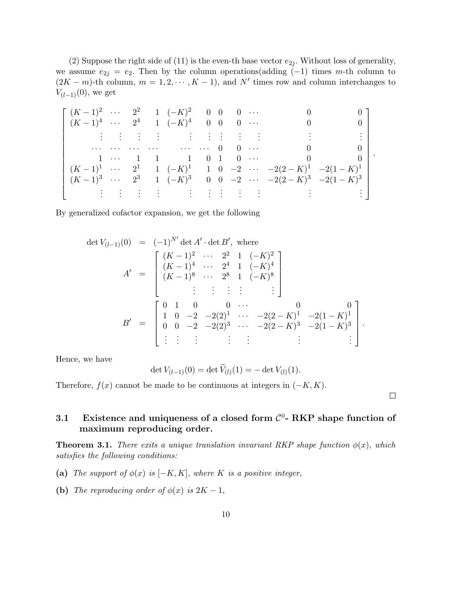(2) Suppose the right side of (11) is the even-th base vector  $e_{2i}$ . Without loss of generality, we assume  $e_{2j} = e_2$ . Then by the column operations(adding  $(-1)$  times m-th column to  $(2K - m)$ -th column,  $m = 1, 2, \dots, K - 1$ , and N' times row and column interchanges to  $V_{(l-1)}(0)$ , we get

 (K − 1)<sup>2</sup> · · · 2 <sup>2</sup> 1 (−K) <sup>2</sup> 0 0 0 · · · 0 0 (K − 1)<sup>4</sup> · · · 2 <sup>4</sup> 1 (−K) <sup>4</sup> 0 0 0 · · · 0 0 . . . . . . . . . . . . . . . . . . . . . . . . . . . . . . . . . · · · · · · · · · · · · · · · · · · 0 0 · · · 0 0 1 · · · 1 1 1 0 1 0 · · · 0 0 (K − 1)<sup>1</sup> · · · 2 <sup>1</sup> 1 (−K) <sup>1</sup> 1 0 −2 · · · −2(2 − K) <sup>1</sup> −2(1 − K) 1 (K − 1)<sup>3</sup> · · · 2 <sup>3</sup> 1 (−K) <sup>3</sup> 0 0 −2 · · · −2(2 − K) <sup>3</sup> −2(1 − K) 3 . . . . . . . . . . . . . . . . . . . . . . . . . . . . . . . . . .

By generalized cofactor expansion, we get the following

$$
\det V_{(l-1)}(0) = (-1)^{N'} \det A' \cdot \det B', \text{ where}
$$
\n
$$
A' = \begin{bmatrix} (K-1)^2 & \cdots & 2^2 & 1 & (-K)^2 \\ (K-1)^4 & \cdots & 2^4 & 1 & (-K)^4 \\ (K-1)^8 & \cdots & 2^8 & 1 & (-K)^8 \\ \vdots & \vdots & \vdots & \vdots & \vdots \end{bmatrix}
$$
\n
$$
B' = \begin{bmatrix} 0 & 1 & 0 & 0 & \cdots & 0 & 0 \\ 1 & 0 & -2 & -2(2)^1 & \cdots & -2(2-K)^1 & -2(1-K)^1 \\ 0 & 0 & -2 & -2(2)^3 & \cdots & -2(2-K)^3 & -2(1-K)^3 \\ \vdots & \vdots & \vdots & \vdots & \vdots & \vdots \end{bmatrix}.
$$

Hence, we have

$$
\det V_{(l-1)}(0) = \det V_{(l)}(1) = -\det V_{(l)}(1).
$$

Therefore,  $f(x)$  cannot be made to be continuous at integers in  $(-K, K)$ .

 $\Box$ 

# 3.1 Existence and uniqueness of a closed form  $\mathcal{C}^0$ - RKP shape function of maximum reproducing order.

**Theorem 3.1.** There exits a unique translation invariant RKP shape function  $\phi(x)$ , which satisfies the following conditions:

- (a) The support of  $\phi(x)$  is  $[-K, K]$ , where K is a positive integer,
- (b) The reproducing order of  $\phi(x)$  is  $2K 1$ ,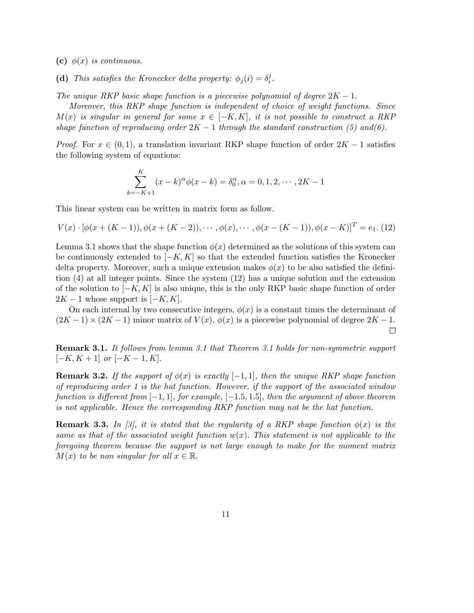- (c)  $\phi(x)$  is continuous.
- (d) This satisfies the Kronecker delta property:  $\phi_j(i) = \delta_i^j$  $\frac{j}{i}$ .

The unique RKP basic shape function is a piecewise polynomial of degree  $2K - 1$ .

Moreover, this RKP shape function is independent of choice of weight functions. Since  $M(x)$  is singular in general for some  $x \in [-K, K]$ , it is not possible to construct a RKP shape function of reproducing order  $2K - 1$  through the standard construction (5) and(6).

*Proof.* For  $x \in (0, 1)$ , a translation invariant RKP shape function of order  $2K - 1$  satisfies the following system of equations:

$$
\sum_{k=-K+1}^{K} (x-k)^{\alpha} \phi(x-k) = \delta_0^{\alpha}, \alpha = 0, 1, 2, \cdots, 2K - 1
$$

This linear system can be written in matrix form as follow.

$$
V(x) \cdot [\phi(x + (K-1)), \phi(x + (K-2)), \cdots, \phi(x), \cdots, \phi(x - (K-1)), \phi(x - K)]^{T} = e_1.
$$
 (12)

Lemma 3.1 shows that the shape function  $\phi(x)$  determined as the solutions of this system can be continuously extended to  $[-K, K]$  so that the extended function satisfies the Kronecker delta property. Moreover, such a unique extension makes  $\phi(x)$  to be also satisfied the definition (4) at all integer points. Since the system (12) has a unique solution and the extension of the solution to  $[-K, K]$  is also unique, this is the only RKP basic shape function of order  $2K - 1$  whose support is  $[-K, K]$ .

On each internal by two consecutive integers,  $\phi(x)$  is a constant times the determinant of  $(2K-1) \times (2K-1)$  minor matrix of  $V(x)$ ,  $\phi(x)$  is a piecewise polynomial of degree  $2K-1$ .  $\Box$ 

Remark 3.1. It follows from lemma 3.1 that Theorem 3.1 holds for non-symmetric support  $[-K, K + 1]$  or  $[-K - 1, K]$ .

**Remark 3.2.** If the support of  $\phi(x)$  is exactly [-1, 1], then the unique RKP shape function of reproducing order 1 is the hat function. However, if the support of the associated window function is different from  $[-1, 1]$ , for example,  $[-1.5, 1.5]$ , then the argument of above theorem is not applicable. Hence the corresponding RKP function may not be the hat function.

**Remark 3.3.** In [3], it is stated that the regularity of a RKP shape function  $\phi(x)$  is the same as that of the associated weight function  $w(x)$ . This statement is not applicable to the foregoing theorem because the support is not large enough to make for the moment matrix  $M(x)$  to be non singular for all  $x \in \mathbb{R}$ .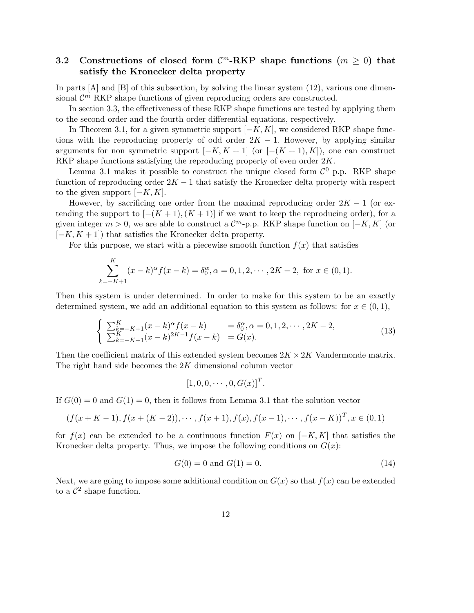# 3.2 Constructions of closed form  $\mathcal{C}^m$ -RKP shape functions  $(m \geq 0)$  that satisfy the Kronecker delta property

In parts  $[A]$  and  $[B]$  of this subsection, by solving the linear system  $(12)$ , various one dimensional  $\mathcal{C}^m$  RKP shape functions of given reproducing orders are constructed.

In section 3.3, the effectiveness of these RKP shape functions are tested by applying them to the second order and the fourth order differential equations, respectively.

In Theorem 3.1, for a given symmetric support  $[-K, K]$ , we considered RKP shape functions with the reproducing property of odd order  $2K - 1$ . However, by applying similar arguments for non symmetric support  $[-K, K + 1]$  (or  $[-(K + 1), K]$ ), one can construct RKP shape functions satisfying the reproducing property of even order  $2K$ .

Lemma 3.1 makes it possible to construct the unique closed form  $\mathcal{C}^0$  p.p. RKP shape function of reproducing order  $2K - 1$  that satisfy the Kronecker delta property with respect to the given support  $[-K, K]$ .

However, by sacrificing one order from the maximal reproducing order  $2K - 1$  (or extending the support to  $[-(K+1),(K+1)]$  if we want to keep the reproducing order), for a given integer  $m > 0$ , we are able to construct a  $\mathcal{C}^m$ -p.p. RKP shape function on  $[-K, K]$  (or  $[-K, K + 1]$  that satisfies the Kronecker delta property.

For this purpose, we start with a piecewise smooth function  $f(x)$  that satisfies

$$
\sum_{k=-K+1}^{K} (x-k)^{\alpha} f(x-k) = \delta_0^{\alpha}, \alpha = 0, 1, 2, \cdots, 2K-2, \text{ for } x \in (0,1).
$$

Then this system is under determined. In order to make for this system to be an exactly determined system, we add an additional equation to this system as follows: for  $x \in (0,1)$ ,

$$
\begin{cases} \sum_{k=-K+1}^{K} (x-k)^{\alpha} f(x-k) = \delta_0^{\alpha}, \alpha = 0, 1, 2, \cdots, 2K-2, \\ \sum_{k=-K+1}^{K} (x-k)^{2K-1} f(x-k) = G(x). \end{cases}
$$
\n(13)

Then the coefficient matrix of this extended system becomes  $2K \times 2K$  Vandermonde matrix. The right hand side becomes the  $2K$  dimensional column vector

$$
[1,0,0,\cdots,0,G(x)]^T.
$$

If  $G(0) = 0$  and  $G(1) = 0$ , then it follows from Lemma 3.1 that the solution vector

$$
(f(x+K-1), f(x+(K-2)), \cdots, f(x+1), f(x), f(x-1), \cdots, f(x-K))^T, x \in (0,1)
$$

for  $f(x)$  can be extended to be a continuous function  $F(x)$  on  $[-K, K]$  that satisfies the Kronecker delta property. Thus, we impose the following conditions on  $G(x)$ :

$$
G(0) = 0 \text{ and } G(1) = 0. \tag{14}
$$

Next, we are going to impose some additional condition on  $G(x)$  so that  $f(x)$  can be extended to a  $\mathcal{C}^2$  shape function.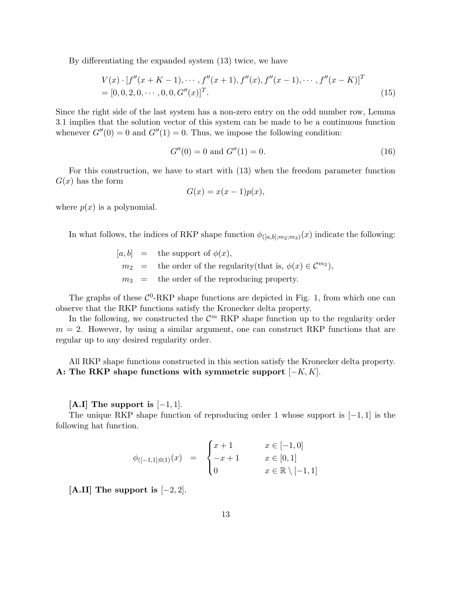By differentiating the expanded system (13) twice, we have

$$
V(x) \cdot [f''(x+K-1), \cdots, f''(x+1), f''(x), f''(x-1), \cdots, f''(x-K)]^T
$$
  
= [0, 0, 2, 0, \cdots, 0, 0, G''(x)]^T. (15)

Since the right side of the last system has a non-zero entry on the odd number row, Lemma 3.1 implies that the solution vector of this system can be made to be a continuous function whenever  $G''(0) = 0$  and  $G''(1) = 0$ . Thus, we impose the following condition:

$$
G''(0) = 0 \text{ and } G''(1) = 0. \tag{16}
$$

For this construction, we have to start with (13) when the freedom parameter function  $G(x)$  has the form

$$
G(x) = x(x - 1)p(x),
$$

where  $p(x)$  is a polynomial.

In what follows, the indices of RKP shape function  $\phi_{([a,b];m_2;m_3)}(x)$  indicate the following:

 $[a, b] =$  the support of  $\phi(x)$ ,  $m_2$  = the order of the regularity(that is,  $\phi(x) \in \mathcal{C}^{m_2}$ ),  $m_3$  = the order of the reproducing property.

The graphs of these  $C^0$ -RKP shape functions are depicted in Fig. 1, from which one can observe that the RKP functions satisfy the Kronecker delta property.

In the following, we constructed the  $\mathcal{C}^m$  RKP shape function up to the regularity order  $m = 2$ . However, by using a similar argument, one can construct RKP functions that are regular up to any desired regularity order.

All RKP shape functions constructed in this section satisfy the Kronecker delta property. A: The RKP shape functions with symmetric support  $[-K, K]$ .

 $[A,I]$  The support is  $[-1,1]$ .

The unique RKP shape function of reproducing order 1 whose support is [−1, 1] is the following hat function.

$$
\phi_{([-1,1];0;1)}(x) = \begin{cases} x+1 & x \in [-1,0] \\ -x+1 & x \in [0,1] \\ 0 & x \in \mathbb{R} \setminus [-1,1] \end{cases}
$$

[A.II] The support is  $[-2, 2]$ .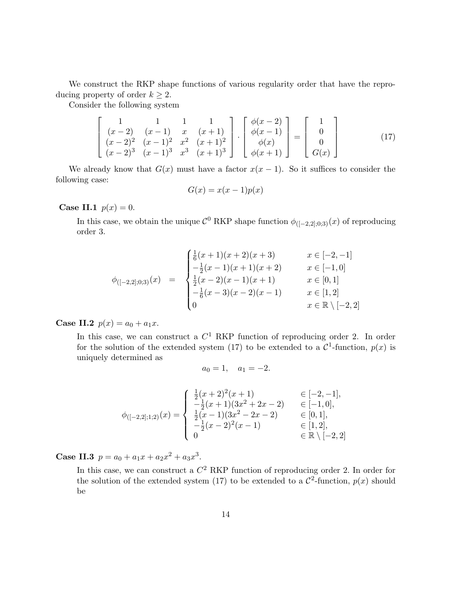We construct the RKP shape functions of various regularity order that have the reproducing property of order  $k \geq 2$ .

Consider the following system

$$
\begin{bmatrix} 1 & 1 & 1 & 1 \\ (x-2) & (x-1) & x & (x+1) \\ (x-2)^2 & (x-1)^2 & x^2 & (x+1)^2 \\ (x-2)^3 & (x-1)^3 & x^3 & (x+1)^3 \end{bmatrix} \cdot \begin{bmatrix} \phi(x-2) \\ \phi(x-1) \\ \phi(x) \\ \phi(x+1) \end{bmatrix} = \begin{bmatrix} 1 \\ 0 \\ 0 \\ G(x) \end{bmatrix}
$$
(17)

We already know that  $G(x)$  must have a factor  $x(x - 1)$ . So it suffices to consider the following case:

$$
G(x) = x(x - 1)p(x)
$$

**Case II.1**  $p(x) = 0$ .

In this case, we obtain the unique  $\mathcal{C}^0$  RKP shape function  $\phi_{([-2,2];0;3)}(x)$  of reproducing order 3.

$$
\phi_{([-2,2];0;3)}(x) = \begin{cases}\n\frac{1}{6}(x+1)(x+2)(x+3) & x \in [-2,-1] \\
-\frac{1}{2}(x-1)(x+1)(x+2) & x \in [-1,0] \\
\frac{1}{2}(x-2)(x-1)(x+1) & x \in [0,1] \\
-\frac{1}{6}(x-3)(x-2)(x-1) & x \in [1,2] \\
0 & x \in \mathbb{R} \setminus [-2,2]\n\end{cases}
$$

**Case II.2**  $p(x) = a_0 + a_1x$ .

In this case, we can construct a  $C<sup>1</sup>$  RKP function of reproducing order 2. In order for the solution of the extended system (17) to be extended to a  $\mathcal{C}^1$ -function,  $p(x)$  is uniquely determined as

$$
a_0 = 1, \quad a_1 = -2.
$$

$$
\phi_{([-2,2];1;2)}(x) = \begin{cases}\n\frac{1}{2}(x+2)^2(x+1) & \in [-2,-1], \\
-\frac{1}{2}(x+1)(3x^2+2x-2) & \in [-1,0], \\
\frac{1}{2}(x-1)(3x^2-2x-2) & \in [0,1], \\
-\frac{1}{2}(x-2)^2(x-1) & \in [1,2], \\
0 & \in \mathbb{R} \setminus [-2,2]\n\end{cases}
$$

**Case II.3**  $p = a_0 + a_1x + a_2x^2 + a_3x^3$ .

In this case, we can construct a  $C^2$  RKP function of reproducing order 2. In order for the solution of the extended system (17) to be extended to a  $\mathcal{C}^2$ -function,  $p(x)$  should be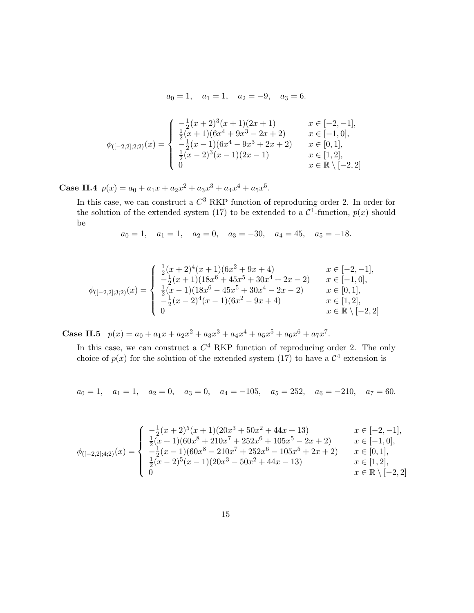$$
a_0 = 1
$$
,  $a_1 = 1$ ,  $a_2 = -9$ ,  $a_3 = 6$ .

$$
\phi_{([-2,2];2;2)}(x) = \begin{cases}\n-\frac{1}{2}(x+2)^3(x+1)(2x+1) & x \in [-2,-1], \\
\frac{1}{2}(x+1)(6x^4+9x^3-2x+2) & x \in [-1,0], \\
-\frac{1}{2}(x-1)(6x^4-9x^3+2x+2) & x \in [0,1], \\
\frac{1}{2}(x-2)^3(x-1)(2x-1) & x \in [1,2], \\
0 & x \in \mathbb{R} \setminus [-2,2]\n\end{cases}
$$

Case II.4  $p(x) = a_0 + a_1x + a_2x^2 + a_3x^3 + a_4x^4 + a_5x^5$ .

In this case, we can construct a  $C^3$  RKP function of reproducing order 2. In order for the solution of the extended system (17) to be extended to a  $\mathcal{C}^1$ -function,  $p(x)$  should be

$$
a_0 = 1
$$
,  $a_1 = 1$ ,  $a_2 = 0$ ,  $a_3 = -30$ ,  $a_4 = 45$ ,  $a_5 = -18$ .

$$
\phi_{([-2,2];3;2)}(x) = \begin{cases}\n\frac{1}{2}(x+2)^4(x+1)(6x^2+9x+4) & x \in [-2,-1], \\
-\frac{1}{2}(x+1)(18x^6+45x^5+30x^4+2x-2) & x \in [-1,0], \\
\frac{1}{2}(x-1)(18x^6-45x^5+30x^4-2x-2) & x \in [0,1], \\
-\frac{1}{2}(x-2)^4(x-1)(6x^2-9x+4) & x \in [1,2], \\
0 & x \in \mathbb{R} \setminus [-2,2]\n\end{cases}
$$

Case II.5  $p(x) = a_0 + a_1x + a_2x^2 + a_3x^3 + a_4x^4 + a_5x^5 + a_6x^6 + a_7x^7$ .

In this case, we can construct a  $C<sup>4</sup>$  RKP function of reproducing order 2. The only choice of  $p(x)$  for the solution of the extended system (17) to have a  $\mathcal{C}^4$  extension is

 $a_0 = 1$ ,  $a_1 = 1$ ,  $a_2 = 0$ ,  $a_3 = 0$ ,  $a_4 = -105$ ,  $a_5 = 252$ ,  $a_6 = -210$ ,  $a_7 = 60$ .

$$
\phi_{([-2,2];4;2)}(x) = \begin{cases}\n-\frac{1}{2}(x+2)^5(x+1)(20x^3+50x^2+44x+13) & x \in [-2,-1], \\
\frac{1}{2}(x+1)(60x^8+210x^7+252x^6+105x^5-2x+2) & x \in [-1,0], \\
-\frac{1}{2}(x-1)(60x^8-210x^7+252x^6-105x^5+2x+2) & x \in [0,1], \\
\frac{1}{2}(x-2)^5(x-1)(20x^3-50x^2+44x-13) & x \in [1,2], \\
0 & x \in \mathbb{R} \setminus [-2,2]\n\end{cases}
$$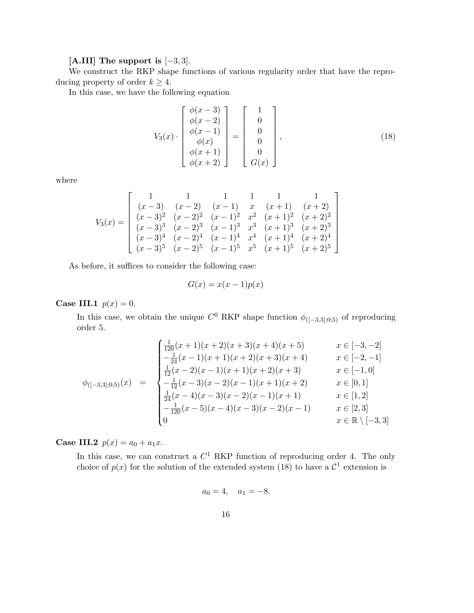## [A.III] The support is  $[-3, 3]$ .

We construct the RKP shape functions of various regularity order that have the reproducing property of order  $k \geq 4$ .

In this case, we have the following equation

$$
V_3(x) \cdot \begin{bmatrix} \phi(x-3) \\ \phi(x-2) \\ \phi(x-1) \\ \phi(x) \\ \phi(x+1) \\ \phi(x+2) \end{bmatrix} = \begin{bmatrix} 1 \\ 0 \\ 0 \\ 0 \\ 0 \\ 0 \\ G(x) \end{bmatrix}, \qquad (18)
$$

where

$$
V_3(x) = \begin{bmatrix} 1 & 1 & 1 & 1 & 1 & 1 \\ (x-3) & (x-2) & (x-1) & x & (x+1) & (x+2) \\ (x-3)^2 & (x-2)^2 & (x-1)^2 & x^2 & (x+1)^2 & (x+2)^2 \\ (x-3)^3 & (x-2)^3 & (x-1)^3 & x^3 & (x+1)^3 & (x+2)^3 \\ (x-3)^4 & (x-2)^4 & (x-1)^4 & x^4 & (x+1)^4 & (x+2)^4 \\ (x-3)^5 & (x-2)^5 & (x-1)^5 & x^5 & (x+1)^5 & (x+2)^5 \end{bmatrix}
$$

As before, it suffices to consider the following case:

$$
G(x) = x(x - 1)p(x)
$$

Case III.1  $p(x) = 0$ .

In this case, we obtain the unique  $C^0$  RKP shape function  $\phi_{([-3,3];0;5)}$  of reproducing order 5.

$$
\phi_{([-3,3],0,5)}(x) = \begin{cases}\n\frac{1}{120}(x+1)(x+2)(x+3)(x+4)(x+5) & x \in [-3,-2] \\
-\frac{1}{24}(x-1)(x+1)(x+2)(x+3)(x+4) & x \in [-2,-1] \\
\frac{1}{12}(x-2)(x-1)(x+1)(x+2)(x+3) & x \in [-1,0] \\
-\frac{1}{12}(x-3)(x-2)(x-1)(x+1)(x+2) & x \in [0,1] \\
\frac{1}{24}(x-4)(x-3)(x-2)(x-1)(x+1) & x \in [1,2] \\
-\frac{1}{120}(x-5)(x-4)(x-3)(x-2)(x-1) & x \in [2,3] \\
0 & x \in \mathbb{R} \setminus [-3,3]\n\end{cases}
$$

**Case III.2**  $p(x) = a_0 + a_1x$ .

In this case, we can construct a  $C<sup>1</sup>$  RKP function of reproducing order 4. The only choice of  $p(x)$  for the solution of the extended system (18) to have a  $\mathcal{C}^1$  extension is

$$
a_0 = 4, \quad a_1 = -8.
$$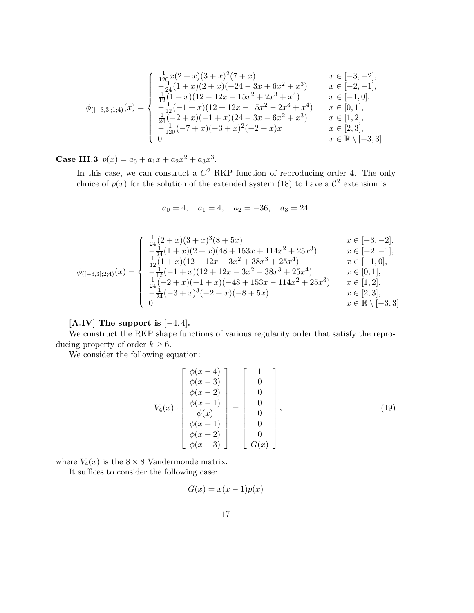$$
\phi_{([-3,3];1;4)}(x) = \begin{cases}\n\frac{1}{120}x(2+x)(3+x)^2(7+x) & x \in [-3,-2], \\
-\frac{1}{24}(1+x)(2+x)(-24-3x+6x^2+x^3) & x \in [-2,-1], \\
\frac{1}{12}(1+x)(12-12x-15x^2+2x^3+x^4) & x \in [-1,0], \\
-\frac{1}{12}(-1+x)(12+12x-15x^2-2x^3+x^4) & x \in [0,1], \\
\frac{1}{24}(-2+x)(-1+x)(24-3x-6x^2+x^3) & x \in [1,2], \\
-\frac{1}{120}(-7+x)(-3+x)^2(-2+x)x & x \in [2,3], \\
0 & x \in \mathbb{R} \setminus [-3,3]\n\end{cases}
$$

Case III.3  $p(x) = a_0 + a_1x + a_2x^2 + a_3x^3$ .

In this case, we can construct a  $C^2$  RKP function of reproducing order 4. The only choice of  $p(x)$  for the solution of the extended system (18) to have a  $\mathcal{C}^2$  extension is

$$
a_0 = 4
$$
,  $a_1 = 4$ ,  $a_2 = -36$ ,  $a_3 = 24$ .

$$
\phi_{([-3,3];2;4)}(x) = \begin{cases}\n\frac{1}{24}(2+x)(3+x)^3(8+5x) & x \in [-3,-2], \\
-\frac{1}{24}(1+x)(2+x)(48+153x+114x^2+25x^3) & x \in [-2,-1], \\
\frac{1}{12}(1+x)(12-12x-3x^2+38x^3+25x^4) & x \in [-1,0], \\
-\frac{1}{12}(-1+x)(12+12x-3x^2-38x^3+25x^4) & x \in [0,1], \\
\frac{1}{24}(-2+x)(-1+x)(-48+153x-114x^2+25x^3) & x \in [1,2], \\
-\frac{1}{24}(-3+x)^3(-2+x)(-8+5x) & x \in [2,3], \\
0 & x \in \mathbb{R} \setminus [-3,3]\n\end{cases}
$$

[A.IV] The support is  $[-4, 4]$ .

We construct the RKP shape functions of various regularity order that satisfy the reproducing property of order  $k \geq 6$ .

We consider the following equation:

$$
V_4(x) \cdot \begin{bmatrix} \phi(x-4) \\ \phi(x-3) \\ \phi(x-2) \\ \phi(x-1) \\ \phi(x) \\ \phi(x+1) \\ \phi(x+2) \\ \phi(x+3) \end{bmatrix} = \begin{bmatrix} 1 \\ 0 \\ 0 \\ 0 \\ 0 \\ 0 \\ 0 \\ G(x) \end{bmatrix}, \qquad (19)
$$

where  $V_4(x)$  is the  $8 \times 8$  Vandermonde matrix.

It suffices to consider the following case:

$$
G(x) = x(x - 1)p(x)
$$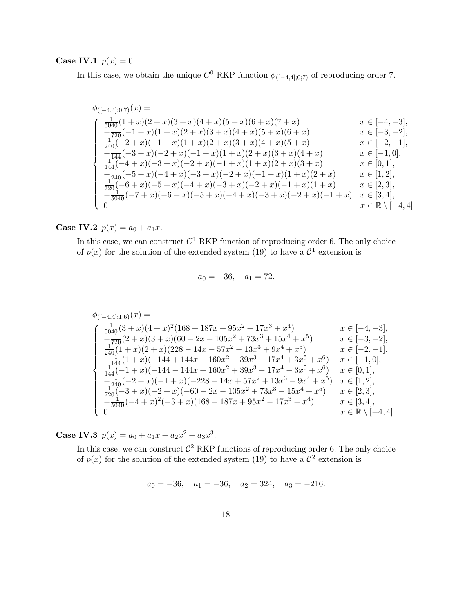Case IV.1  $p(x) = 0$ .

In this case, we obtain the unique  $C^0$  RKP function  $\phi_{([-4,4];0,7)}$  of reproducing order 7.

$$
\begin{array}{llll} \phi_{([-4,4];0;7)}(x)=\\ \begin{cases} \frac{1}{5040}(1+x)(2+x)(3+x)(4+x)(5+x)(6+x)(7+x) & x\in [-4,-3],\\ -\frac{1}{720}(-1+x)(1+x)(2+x)(3+x)(4+x)(5+x)(6+x) & x\in [-3,-2],\\ \frac{1}{240}(-2+x)(-1+x)(1+x)(2+x)(3+x)(4+x)(5+x) & x\in [-2,-1],\\ -\frac{1}{144}(-3+x)(-2+x)(-1+x)(1+x)(2+x)(3+x)(4+x) & x\in [-1,0],\\ \frac{1}{144}(-4+x)(-3+x)(-2+x)(-1+x)(1+x)(2+x)(3+x) & x\in [0,1],\\ -\frac{1}{240}(-5+x)(-4+x)(-3+x)(-2+x)(-1+x)(1+x)(2+x) & x\in [1,2],\\ \frac{1}{720}(-6+x)(-5+x)(-4+x)(-3+x)(-2+x)(-1+x)(1+x) & x\in [2,3],\\ \frac{1}{75040}(-7+x)(-6+x)(-5+x)(-4+x)(-3+x)(-2+x)(-1+x) & x\in [3,4],\\ 0 & x\in \mathbb{R}\setminus [-4,4] \end{cases}
$$

**Case IV.2**  $p(x) = a_0 + a_1x$ .

In this case, we can construct  $C^1$  RKP function of reproducing order 6. The only choice of  $p(x)$  for the solution of the extended system (19) to have a  $\mathcal{C}^1$  extension is

$$
a_0 = -36, \quad a_1 = 72.
$$

$$
\begin{array}{ll} \phi_{([-4,4];1;6)}(x)=\\ \begin{cases} \frac{1}{5040}(3+x)(4+x)^2(168+187x+95x^2+17x^3+x^4) & x\in [-4,-3],\\ -\frac{1}{720}(2+x)(3+x)(60-2x+105x^2+73x^3+15x^4+x^5) & x\in [-3,-2],\\ \frac{1}{240}(1+x)(2+x)(228-14x-57x^2+13x^3+9x^4+x^5) & x\in [-2,-1],\\ -\frac{1}{144}(1+x)(-144+144x+160x^2-39x^3-17x^4+3x^5+x^6) & x\in [-1,0],\\ \frac{1}{144}(-1+x)(-144-144x+160x^2+39x^3-17x^4-3x^5+x^6) & x\in [0,1],\\ -\frac{1}{240}(-2+x)(-1+x)(-228-14x+57x^2+13x^3-9x^4+x^5) & x\in [1,2],\\ \frac{1}{720}(-3+x)(-2+x)(-60-2x-105x^2+73x^3-15x^4+x^5) & x\in [2,3],\\ \frac{1}{75040}(-4+x)^2(-3+x)(168-187x+95x^2-17x^3+x^4) & x\in [3,4],\\ x\in \mathbb{R}\setminus [-4,4] \end{cases} \end{array}
$$

**Case IV.3**  $p(x) = a_0 + a_1x + a_2x^2 + a_3x^3$ .

In this case, we can construct  $\mathcal{C}^2$  RKP functions of reproducing order 6. The only choice of  $p(x)$  for the solution of the extended system (19) to have a  $\mathcal{C}^2$  extension is

 $a_0 = -36$ ,  $a_1 = -36$ ,  $a_2 = 324$ ,  $a_3 = -216$ .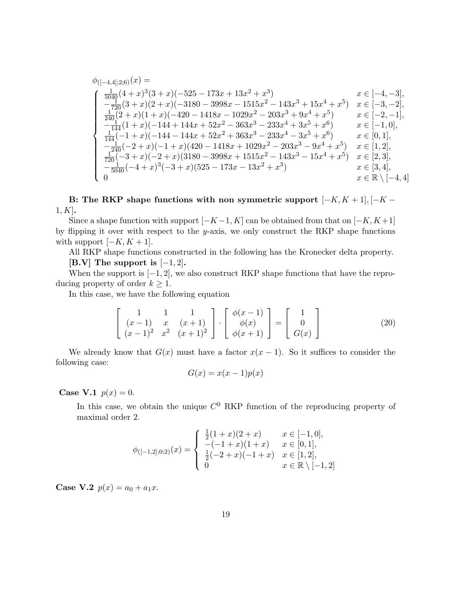$$
\phi_{([-4,4];2;6)}(x) =
$$
\n
$$
\begin{cases}\n\frac{1}{5040}(4+x)^3(3+x)(-525-173x+13x^2+x^3) & x \in [-4,-3], \\
-\frac{1}{720}(3+x)(2+x)(-3180-3998x-1515x^2-143x^3+15x^4+x^5) & x \in [-3,-2], \\
\frac{1}{240}(2+x)(1+x)(-420-1418x-1029x^2-203x^3+9x^4+x^5) & x \in [-2,-1], \\
-\frac{1}{144}(1+x)(-144+144x+52x^2-363x^3-233x^4+3x^5+x^6) & x \in [-1,0], \\
\frac{1}{144}(-1+x)(-144-144x+52x^2+363x^3-233x^4-3x^5+x^6) & x \in [0,1], \\
-\frac{1}{240}(-2+x)(-1+x)(420-1418x+1029x^2-203x^3-9x^4+x^5) & x \in [1,2], \\
\frac{1}{720}(-3+x)(-2+x)(3180-3998x+1515x^2-143x^3-15x^4+x^5) & x \in [2,3], \\
-\frac{1}{5040}(-4+x)^3(-3+x)(525-173x-13x^2+x^3) & x \in [3,4], \\
0 & x \in \mathbb{R} \setminus [-4,4]\n\end{cases}
$$

B: The RKP shape functions with non symmetric support  $[-K, K + 1], [-K 1, K$ .

Since a shape function with support  $[-K-1, K]$  can be obtained from that on  $[-K, K+1]$ by flipping it over with respect to the  $y$ -axis, we only construct the RKP shape functions with support  $[-K, K + 1]$ .

All RKP shape functions constructed in the following has the Kronecker delta property.  $[B.V]$  The support is  $[-1, 2]$ .

When the support is  $[-1, 2]$ , we also construct RKP shape functions that have the reproducing property of order  $k \geq 1$ .

In this case, we have the following equation

$$
\begin{bmatrix} 1 & 1 & 1 \ (x-1) & x & (x+1) \ (x-1)^2 & x^2 & (x+1)^2 \end{bmatrix} \cdot \begin{bmatrix} \phi(x-1) \\ \phi(x) \\ \phi(x+1) \end{bmatrix} = \begin{bmatrix} 1 \\ 0 \\ G(x) \end{bmatrix}
$$
 (20)

We already know that  $G(x)$  must have a factor  $x(x - 1)$ . So it suffices to consider the following case:

$$
G(x) = x(x-1)p(x)
$$

**Case V.1**  $p(x) = 0$ .

In this case, we obtain the unique  $C^0$  RKP function of the reproducing property of maximal order 2.

$$
\phi_{([-1,2];0;2)}(x) = \begin{cases} \frac{1}{2}(1+x)(2+x) & x \in [-1,0], \\ -(-1+x)(1+x) & x \in [0,1], \\ \frac{1}{2}(-2+x)(-1+x) & x \in [1,2], \\ 0 & x \in \mathbb{R} \setminus [-1,2] \end{cases}
$$

**Case V.2**  $p(x) = a_0 + a_1x$ .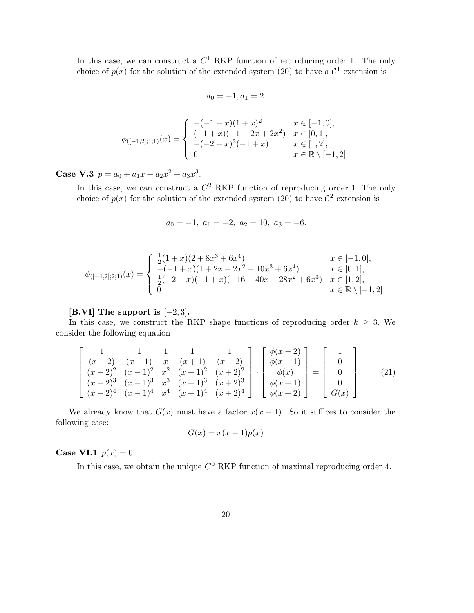In this case, we can construct a  $C^1$  RKP function of reproducing order 1. The only choice of  $p(x)$  for the solution of the extended system (20) to have a  $\mathcal{C}^1$  extension is

$$
a_0 = -1, a_1 = 2.
$$

$$
\phi_{([-1,2];1;1)}(x) = \begin{cases}\n-(-1+x)(1+x)^2 & x \in [-1,0], \\
(-1+x)(-1-2x+2x^2) & x \in [0,1], \\
-(-2+x)^2(-1+x) & x \in [1,2], \\
0 & x \in \mathbb{R} \setminus [-1,2]\n\end{cases}
$$

Case V.3  $p = a_0 + a_1x + a_2x^2 + a_3x^3$ .

In this case, we can construct a  $C^2$  RKP function of reproducing order 1. The only choice of  $p(x)$  for the solution of the extended system (20) to have  $\mathcal{C}^2$  extension is

$$
a_0 = -1, \ a_1 = -2, \ a_2 = 10, \ a_3 = -6.
$$

$$
\phi_{([-1,2];2;1)}(x) = \begin{cases}\n\frac{1}{2}(1+x)(2+8x^3+6x^4) & x \in [-1,0], \\
-(-1+x)(1+2x+2x^2-10x^3+6x^4) & x \in [0,1], \\
\frac{1}{2}(-2+x)(-1+x)(-16+40x-28x^2+6x^3) & x \in [1,2], \\
0 & x \in \mathbb{R} \setminus [-1,2]\n\end{cases}
$$

#### [B.VI] The support is  $[-2, 3]$ .

In this case, we construct the RKP shape functions of reproducing order  $k \geq 3$ . We consider the following equation

$$
\begin{bmatrix}\n1 & 1 & 1 & 1 & 1 \\
(x-2) & (x-1) & x & (x+1) & (x+2) \\
(x-2)^2 & (x-1)^2 & x^2 & (x+1)^2 & (x+2)^2 \\
(x-2)^3 & (x-1)^3 & x^3 & (x+1)^3 & (x+2)^3 \\
(x-2)^4 & (x-1)^4 & x^4 & (x+1)^4 & (x+2)^4\n\end{bmatrix}\n\cdot\n\begin{bmatrix}\n\phi(x-2) \\
\phi(x-1) \\
\phi(x) \\
\phi(x+1) \\
\phi(x+2)\n\end{bmatrix}\n=\n\begin{bmatrix}\n1 \\
0 \\
0 \\
0 \\
0 \\
G(x)\n\end{bmatrix}
$$
\n(21)

We already know that  $G(x)$  must have a factor  $x(x - 1)$ . So it suffices to consider the following case:

$$
G(x) = x(x - 1)p(x)
$$

**Case VI.1**  $p(x) = 0$ .

In this case, we obtain the unique  $C^0$  RKP function of maximal reproducing order 4.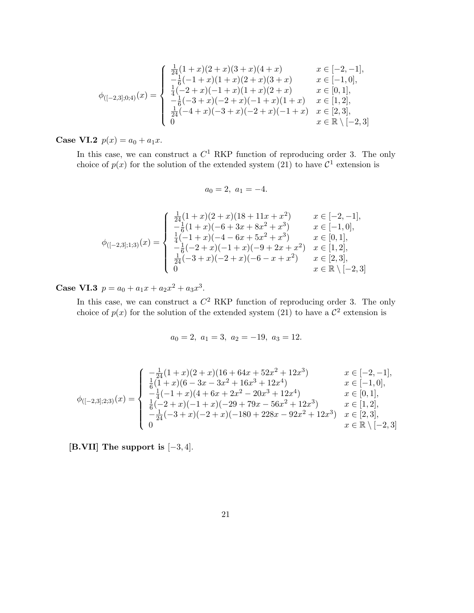$$
\phi_{([-2,3],0;4)}(x) = \begin{cases}\n\frac{1}{24}(1+x)(2+x)(3+x)(4+x) & x \in [-2,-1], \\
-\frac{1}{6}(-1+x)(1+x)(2+x)(3+x) & x \in [-1,0], \\
\frac{1}{4}(-2+x)(-1+x)(1+x)(2+x) & x \in [0,1], \\
-\frac{1}{6}(-3+x)(-2+x)(-1+x)(1+x) & x \in [1,2], \\
\frac{1}{24}(-4+x)(-3+x)(-2+x)(-1+x) & x \in [2,3], \\
0 & x \in \mathbb{R} \setminus [-2,3]\n\end{cases}
$$

**Case VI.2**  $p(x) = a_0 + a_1x$ .

In this case, we can construct a  $C<sup>1</sup>$  RKP function of reproducing order 3. The only choice of  $p(x)$  for the solution of the extended system (21) to have  $\mathcal{C}^1$  extension is

$$
a_0 = 2, \ a_1 = -4.
$$

$$
\phi_{([-2,3];1;3)}(x) = \begin{cases}\n\frac{1}{24}(1+x)(2+x)(18+11x+x^2) & x \in [-2,-1], \\
-\frac{1}{6}(1+x)(-6+3x+8x^2+x^3) & x \in [-1,0], \\
\frac{1}{4}(-1+x)(-4-6x+5x^2+x^3) & x \in [0,1], \\
-\frac{1}{6}(-2+x)(-1+x)(-9+2x+x^2) & x \in [1,2], \\
\frac{1}{24}(-3+x)(-2+x)(-6-x+x^2) & x \in [2,3], \\
0 & x \in \mathbb{R} \setminus [-2,3]\n\end{cases}
$$

Case VI.3  $p = a_0 + a_1x + a_2x^2 + a_3x^3$ .

In this case, we can construct a  $C^2$  RKP function of reproducing order 3. The only choice of  $p(x)$  for the solution of the extended system (21) to have a  $\mathcal{C}^2$  extension is

$$
a_0 = 2, \ a_1 = 3, \ a_2 = -19, \ a_3 = 12.
$$

$$
\phi_{([-2,3];2;3)}(x) = \begin{cases}\n-\frac{1}{24}(1+x)(2+x)(16+64x+52x^2+12x^3) & x \in [-2,-1], \\
\frac{1}{6}(1+x)(6-3x-3x^2+16x^3+12x^4) & x \in [-1,0], \\
-\frac{1}{4}(-1+x)(4+6x+2x^2-20x^3+12x^4) & x \in [0,1], \\
\frac{1}{6}(-2+x)(-1+x)(-29+79x-56x^2+12x^3) & x \in [1,2], \\
-\frac{1}{24}(-3+x)(-2+x)(-180+228x-92x^2+12x^3) & x \in [2,3], \\
0 & x \in \mathbb{R} \setminus [-2,3]\n\end{cases}
$$

[B.VII] The support is [−3, 4].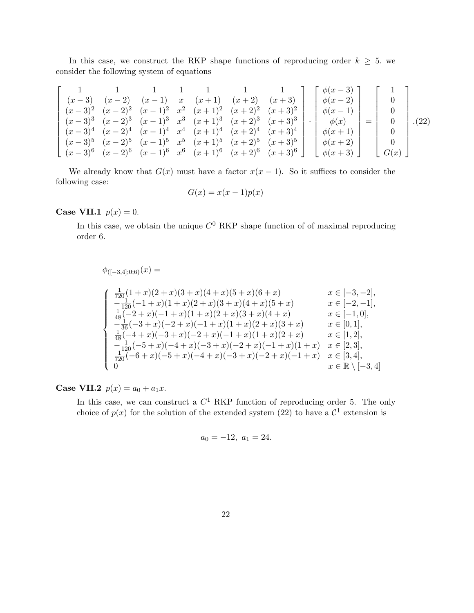In this case, we construct the RKP shape functions of reproducing order  $k \geq 5$ . we consider the following system of equations

$$
\begin{bmatrix}\n1 & 1 & 1 & 1 & 1 & 1 & 1 \\
(x-3) & (x-2) & (x-1) & x & (x+1) & (x+2) & (x+3) \\
(x-3)^2 & (x-2)^2 & (x-1)^2 & x^2 & (x+1)^2 & (x+2)^2 & (x+3)^2 \\
(x-3)^3 & (x-2)^3 & (x-1)^3 & x^3 & (x+1)^3 & (x+2)^3 & (x+3)^3 \\
(x-3)^4 & (x-2)^4 & (x-1)^4 & x^4 & (x+1)^4 & (x+2)^4 & (x+3)^4 \\
(x-3)^5 & (x-2)^5 & (x-1)^5 & x^5 & (x+1)^5 & (x+2)^5 & (x+3)^5 \\
(x-3)^6 & (x-2)^6 & (x-1)^6 & x^6 & (x+1)^6 & (x+2)^6 & (x+3)^6\n\end{bmatrix} \cdot \begin{bmatrix}\n\phi(x-3) \\
\phi(x-2) \\
\phi(x-1) \\
\phi(x) \\
\phi(x+1) \\
\phi(x+2) \\
\phi(x+3)\n\end{bmatrix} = \begin{bmatrix}\n1 \\
0 \\
0 \\
0 \\
0 \\
0 \\
0 \\
0\n\end{bmatrix}.
$$
\n(22)

We already know that  $G(x)$  must have a factor  $x(x - 1)$ . So it suffices to consider the following case:

$$
G(x) = x(x - 1)p(x)
$$

Case VII.1  $p(x) = 0$ .

In this case, we obtain the unique  $C^0$  RKP shape function of of maximal reproducing order 6.

$$
\begin{array}{ll}\n\phi_{([-3,4];0;6)}(x) = \\
& \int \frac{1}{720}(1+x)(2+x)(3+x)(4+x)(5+x)(6+x) & x \in [-3,-2], \\
& \int \frac{-1}{120}(-1+x)(1+x)(2+x)(3+x)(4+x)(5+x) & x \in [-2,-1], \\
& \int \frac{1}{48}(-2+x)(-1+x)(1+x)(2+x)(3+x)(4+x) & x \in [-1,0], \\
& \int \frac{-1}{36}(-3+x)(-2+x)(-1+x)(1+x)(2+x)(3+x) & x \in [0,1], \\
& \int \frac{1}{48}(-4+x)(-3+x)(-2+x)(-1+x)(1+x)(2+x) & x \in [1,2], \\
& \int \frac{-1}{120}(-5+x)(-4+x)(-3+x)(-2+x)(-1+x)(1+x) & x \in [2,3], \\
& \int \frac{1}{720}(-6+x)(-5+x)(-4+x)(-3+x)(-2+x)(-1+x) & x \in [3,4], \\
& x \in \mathbb{R} \setminus [-3,4]\n\end{array}
$$

**Case VII.2**  $p(x) = a_0 + a_1x$ .

In this case, we can construct a  $C<sup>1</sup>$  RKP function of reproducing order 5. The only choice of  $p(x)$  for the solution of the extended system (22) to have a  $\mathcal{C}^1$  extension is

$$
a_0 = -12, \ a_1 = 24.
$$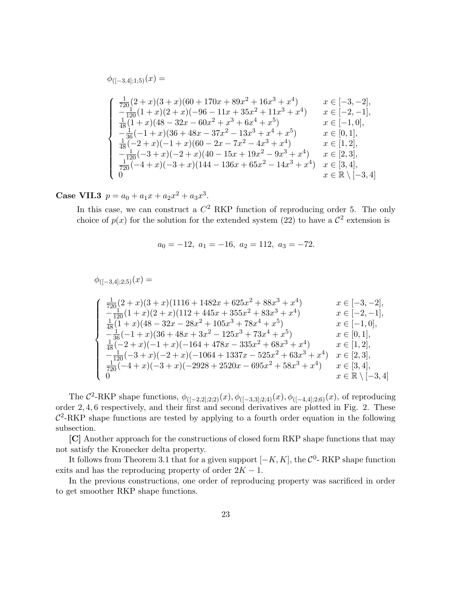$$
\begin{array}{ll}\n\phi_{([-3,4];1;5)}(x) = \\
& \int \frac{1}{720}(2+x)(3+x)(60+170x+89x^2+16x^3+x^4) & x \in [-3,-2], \\
& -\frac{1}{120}(1+x)(2+x)(-96-11x+35x^2+11x^3+x^4) & x \in [-2,-1], \\
& \frac{1}{48}(1+x)(48-32x-60x^2+x^3+6x^4+x^5) & x \in [-1,0], \\
& -\frac{1}{36}(-1+x)(36+48x-37x^2-13x^3+x^4+x^5) & x \in [0,1], \\
& \frac{1}{48}(-2+x)(-1+x)(60-2x-7x^2-4x^3+x^4) & x \in [1,2], \\
& -\frac{1}{120}(-3+x)(-2+x)(40-15x+19x^2-9x^3+x^4) & x \in [2,3], \\
& \frac{1}{720}(-4+x)(-3+x)(144-136x+65x^2-14x^3+x^4) & x \in [3,4], \\
& x \in \mathbb{R} \setminus [-3,4]\n\end{array}
$$

Case VII.3  $p = a_0 + a_1x + a_2x^2 + a_3x^3$ .

In this case, we can construct a  $C^2$  RKP function of reproducing order 5. The only choice of  $p(x)$  for the solution for the extended system (22) to have a  $\mathcal{C}^2$  extension is

$$
a_0 = -12, a_1 = -16, a_2 = 112, a_3 = -72.
$$

$$
\phi_{([-3,4];2;5)}(x) =
$$
\n
$$
\begin{cases}\n\frac{1}{720}(2+x)(3+x)(1116+1482x+625x^2+88x^3+x^4) & x \in [-3,-2], \\
-\frac{1}{120}(1+x)(2+x)(112+445x+355x^2+83x^3+x^4) & x \in [-2,-1], \\
\frac{1}{48}(1+x)(48-32x-28x^2+105x^3+78x^4+x^5) & x \in [-1,0], \\
-\frac{1}{36}(-1+x)(36+48x+3x^2-125x^3+73x^4+x^5) & x \in [0,1], \\
\frac{1}{48}(-2+x)(-1+x)(-164+478x-335x^2+68x^3+x^4) & x \in [1,2], \\
-\frac{1}{120}(-3+x)(-2+x)(-1064+1337x-525x^2+63x^3+x^4) & x \in [2,3], \\
\frac{1}{720}(-4+x)(-3+x)(-2928+2520x-695x^2+58x^3+x^4) & x \in [3,4], \\
0 & x \in \mathbb{R} \setminus [-3,4]\n\end{cases}
$$

The  $\mathcal{C}^2$ -RKP shape functions,  $\phi_{([-2,2];2;2)}(x), \phi_{([-3,3];2;4)}(x), \phi_{([-4,4];2;6)}(x)$ , of reproducing order 2, 4, 6 respectively, and their first and second derivatives are plotted in Fig. 2. These  $C<sup>2</sup>$ -RKP shape functions are tested by applying to a fourth order equation in the following subsection.

[C] Another approach for the constructions of closed form RKP shape functions that may not satisfy the Kronecker delta property.

It follows from Theorem 3.1 that for a given support  $[-K, K]$ , the  $\mathcal{C}^0$ - RKP shape function exits and has the reproducing property of order  $2K - 1$ .

In the previous constructions, one order of reproducing property was sacrificed in order to get smoother RKP shape functions.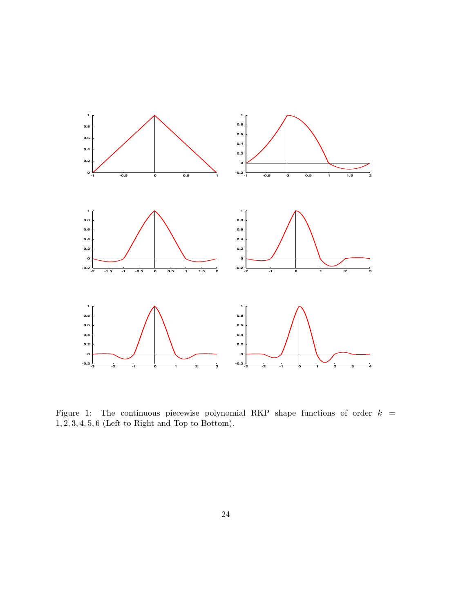

Figure 1: The continuous piecewise polynomial RKP shape functions of order  $k =$ 1, 2, 3, 4, 5, 6 (Left to Right and Top to Bottom).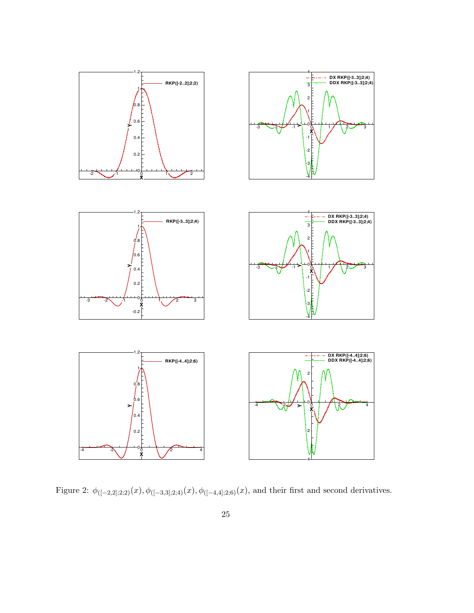

Figure 2:  $\phi_{([-2,2];2;2)}(x), \phi_{([-3,3];2;4)}(x), \phi_{([-4,4];2;6)}(x)$ , and their first and second derivatives.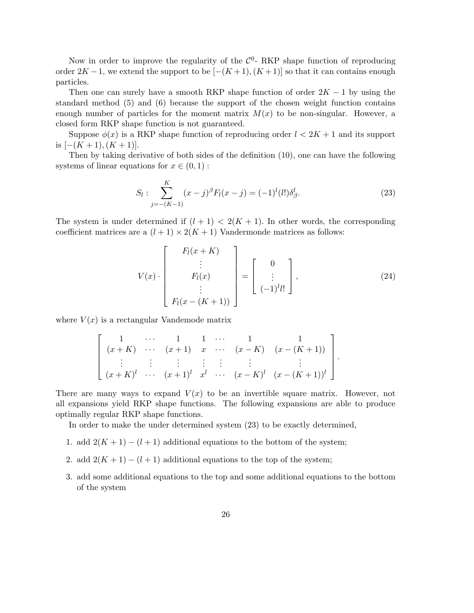Now in order to improve the regularity of the  $\mathcal{C}^0$ - RKP shape function of reproducing order  $2K-1$ , we extend the support to be  $[-(K+1),(K+1)]$  so that it can contains enough particles.

Then one can surely have a smooth RKP shape function of order  $2K - 1$  by using the standard method (5) and (6) because the support of the chosen weight function contains enough number of particles for the moment matrix  $M(x)$  to be non-singular. However, a closed form RKP shape function is not guaranteed.

Suppose  $\phi(x)$  is a RKP shape function of reproducing order  $l < 2K + 1$  and its support is  $[-(K+1),(K+1)]$ .

Then by taking derivative of both sides of the definition (10), one can have the following systems of linear equations for  $x \in (0,1)$ :

$$
S_l: \sum_{j=-(K-1)}^{K} (x-j)^{\beta} F_l(x-j) = (-1)^l (l!) \delta_{\beta}^l.
$$
 (23)

The system is under determined if  $(l + 1) < 2(K + 1)$ . In other words, the corresponding coefficient matrices are a  $(l + 1) \times 2(K + 1)$  Vandermonde matrices as follows:

$$
V(x) \cdot \begin{bmatrix} F_l(x+K) \\ \vdots \\ F_l(x) \\ \vdots \\ F_l(x-(K+1)) \end{bmatrix} = \begin{bmatrix} 0 \\ \vdots \\ (-1)^l l! \end{bmatrix}, \qquad (24)
$$

where  $V(x)$  is a rectangular Vandemode matrix

$$
\left[\begin{array}{ccccccccc} 1 & \cdots & 1 & 1 & \cdots & 1 & 1 \\ (x+K) & \cdots & (x+1) & x & \cdots & (x-K) & (x-(K+1)) \\ \vdots & \vdots & \vdots & \vdots & \vdots & \vdots & \vdots \\ (x+K)^{l} & \cdots & (x+1)^{l} & x^{l} & \cdots & (x-K)^{l} & (x-(K+1))^{l} \end{array}\right].
$$

There are many ways to expand  $V(x)$  to be an invertible square matrix. However, not all expansions yield RKP shape functions. The following expansions are able to produce optimally regular RKP shape functions.

In order to make the under determined system (23) to be exactly determined,

- 1. add  $2(K+1) (l+1)$  additional equations to the bottom of the system;
- 2. add  $2(K+1) (l+1)$  additional equations to the top of the system;
- 3. add some additional equations to the top and some additional equations to the bottom of the system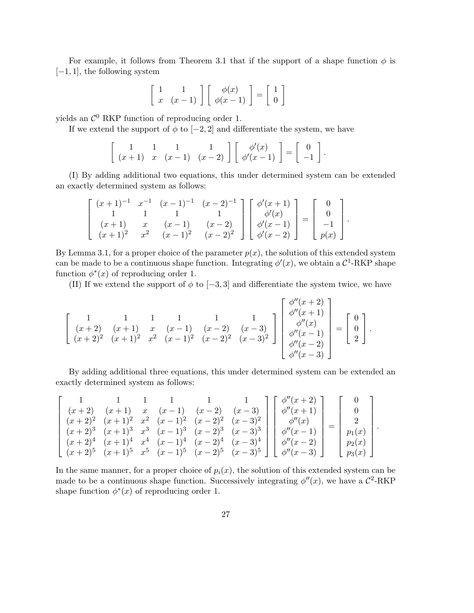For example, it follows from Theorem 3.1 that if the support of a shape function  $\phi$  is  $[-1, 1]$ , the following system

$$
\left[\begin{array}{cc} 1 & 1 \\ x & (x-1) \end{array}\right] \left[\begin{array}{c} \phi(x) \\ \phi(x-1) \end{array}\right] = \left[\begin{array}{c} 1 \\ 0 \end{array}\right]
$$

yields an  $\mathcal{C}^0$  RKP function of reproducing order 1.

If we extend the support of  $\phi$  to  $[-2, 2]$  and differentiate the system, we have

$$
\left[\begin{array}{ccc} 1 & 1 & 1 \\ (x+1) & x & (x-1) & (x-2) \end{array}\right] \left[\begin{array}{c} \phi'(x) \\ \phi'(x-1) \end{array}\right] = \left[\begin{array}{c} 0 \\ -1 \end{array}\right].
$$

(I) By adding additional two equations, this under determined system can be extended an exactly determined system as follows:

$$
\begin{bmatrix} (x+1)^{-1} & x^{-1} & (x-1)^{-1} & (x-2)^{-1} \\ 1 & 1 & 1 & 1 \\ (x+1) & x & (x-1) & (x-2) \\ (x+1)^2 & x^2 & (x-1)^2 & (x-2)^2 \end{bmatrix} \begin{bmatrix} \phi'(x+1) \\ \phi'(x) \\ \phi'(x-1) \\ \phi'(x-2) \end{bmatrix} = \begin{bmatrix} 0 \\ 0 \\ -1 \\ p(x) \end{bmatrix}.
$$

By Lemma 3.1, for a proper choice of the parameter  $p(x)$ , the solution of this extended system can be made to be a continuous shape function. Integrating  $\phi'(x)$ , we obtain a  $\mathcal{C}^1$ -RKP shape function  $\phi^*(x)$  of reproducing order 1.

(II) If we extend the support of  $\phi$  to [-3,3] and differentiate the system twice, we have

$$
\begin{bmatrix} 1 & 1 & 1 & 1 & 1 \\ (x+2) & (x+1) & x & (x-1) & (x-2) & (x-3) \\ (x+2)^2 & (x+1)^2 & x^2 & (x-1)^2 & (x-2)^2 & (x-3)^2 \end{bmatrix} \begin{bmatrix} \phi''(x+2) \\ \phi''(x+1) \\ \phi''(x) \\ \phi''(x-1) \\ \phi''(x-2) \\ \phi''(x-3) \end{bmatrix} = \begin{bmatrix} 0 \\ 0 \\ 2 \end{bmatrix}.
$$

By adding additional three equations, this under determined system can be extended an exactly determined system as follows:

$$
\begin{bmatrix}\n1 & 1 & 1 & 1 & 1 & 1 \\
(x+2) & (x+1) & x & (x-1) & (x-2) & (x-3) \\
(x+2)^2 & (x+1)^2 & x^2 & (x-1)^2 & (x-2)^2 & (x-3)^2 \\
(x+2)^3 & (x+1)^3 & x^3 & (x-1)^3 & (x-2)^3 & (x-3)^3 \\
(x+2)^4 & (x+1)^4 & x^4 & (x-1)^4 & (x-2)^4 & (x-3)^4 \\
(x+2)^5 & (x+1)^5 & x^5 & (x-1)^5 & (x-2)^5 & (x-3)^5\n\end{bmatrix}\n\begin{bmatrix}\n\phi''(x+2) \\
\phi''(x+1) \\
\phi''(x) \\
\phi''(x-1) \\
\phi''(x-2) \\
\phi''(x-3)\n\end{bmatrix} =\n\begin{bmatrix}\n0 \\
0 \\
2 \\
p_1(x) \\
p_2(x) \\
p_3(x)\n\end{bmatrix}.
$$

In the same manner, for a proper choice of  $p_i(x)$ , the solution of this extended system can be made to be a continuous shape function. Successively integrating  $\phi''(x)$ , we have a  $\mathcal{C}^2$ -RKP shape function  $\phi^*(x)$  of reproducing order 1.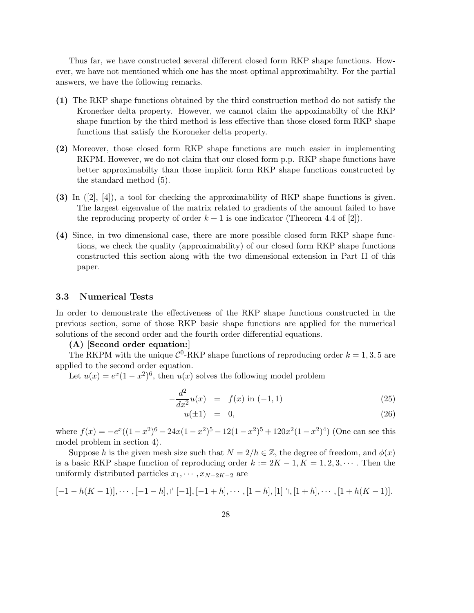Thus far, we have constructed several different closed form RKP shape functions. However, we have not mentioned which one has the most optimal approximabilty. For the partial answers, we have the following remarks.

- (1) The RKP shape functions obtained by the third construction method do not satisfy the Kronecker delta property. However, we cannot claim the appoximabilty of the RKP shape function by the third method is less effective than those closed form RKP shape functions that satisfy the Koroneker delta property.
- (2) Moreover, those closed form RKP shape functions are much easier in implementing RKPM. However, we do not claim that our closed form p.p. RKP shape functions have better approximabilty than those implicit form RKP shape functions constructed by the standard method (5).
- (3) In ([2], [4]), a tool for checking the approximability of RKP shape functions is given. The largest eigenvalue of the matrix related to gradients of the amount failed to have the reproducing property of order  $k + 1$  is one indicator (Theorem 4.4 of [2]).
- (4) Since, in two dimensional case, there are more possible closed form RKP shape functions, we check the quality (approximability) of our closed form RKP shape functions constructed this section along with the two dimensional extension in Part II of this paper.

#### 3.3 Numerical Tests

In order to demonstrate the effectiveness of the RKP shape functions constructed in the previous section, some of those RKP basic shape functions are applied for the numerical solutions of the second order and the fourth order differential equations.

#### (A) [Second order equation:]

The RKPM with the unique  $\mathcal{C}^0$ -RKP shape functions of reproducing order  $k = 1, 3, 5$  are applied to the second order equation.

Let  $u(x) = e^x(1-x^2)^6$ , then  $u(x)$  solves the following model problem

$$
-\frac{d^2}{dx^2}u(x) = f(x) \text{ in } (-1,1)
$$
 (25)

$$
u(\pm 1) = 0,\t(26)
$$

where  $f(x) = -e^x((1-x^2)^6 - 24x(1-x^2)^5 - 12(1-x^2)^5 + 120x^2(1-x^2)^4)$  (One can see this model problem in section 4).

Suppose h is the given mesh size such that  $N = 2/h \in \mathbb{Z}$ , the degree of freedom, and  $\phi(x)$ is a basic RKP shape function of reproducing order  $k := 2K - 1, K = 1, 2, 3, \cdots$ . Then the uniformly distributed particles  $x_1, \dots, x_{N+2K-2}$  are

$$
[-1-h(K-1)], \cdots, [-1-h], \upharpoonright [-1], [-1+h], \cdots, [1-h], [1] \uparrow, [1+h], \cdots, [1+h(K-1)].
$$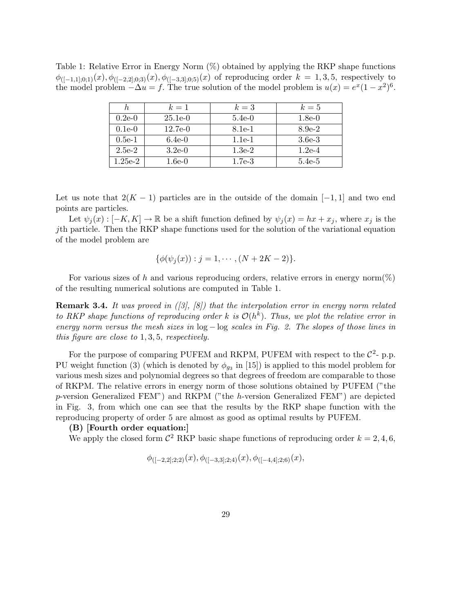Table 1: Relative Error in Energy Norm (%) obtained by applying the RKP shape functions  $\phi_{([-1,1];0;1)}(x), \phi_{([-2,2];0;3)}(x), \phi_{([-3,3];0;5)}(x)$  of reproducing order  $k = 1,3,5$ , respectively to the model problem  $-\Delta u = f$ . The true solution of the model problem is  $u(x) = e^x(1-x^2)^6$ .

|           | $k=1$     | $k=3$    | $k=5$    |
|-----------|-----------|----------|----------|
| $0.2e-0$  | $25.1e-0$ | $5.4e-0$ | $1.8e-0$ |
| $0.1e-0$  | 12.7e-0   | 8.1e-1   | $8.9e-2$ |
| $0.5e-1$  | $6.4e-0$  | $1.1e-1$ | $3.6e-3$ |
| $2.5e-2$  | $3.2e-0$  | $1.3e-2$ | $1.2e-4$ |
| $1.25e-2$ | $1.6e-0$  | $1.7e-3$ | $5.4e-5$ |

Let us note that  $2(K-1)$  particles are in the outside of the domain  $[-1,1]$  and two end points are particles.

Let  $\psi_j(x): [-K, K] \to \mathbb{R}$  be a shift function defined by  $\psi_j(x) = hx + x_j$ , where  $x_j$  is the jth particle. Then the RKP shape functions used for the solution of the variational equation of the model problem are

$$
\{\phi(\psi_j(x)) : j = 1, \cdots, (N + 2K - 2)\}.
$$

For various sizes of h and various reproducing orders, relative errors in energy norm $(\%)$ of the resulting numerical solutions are computed in Table 1.

**Remark 3.4.** It was proved in  $(\beta, \beta)$  that the interpolation error in energy norm related to RKP shape functions of reproducing order k is  $\mathcal{O}(h^k)$ . Thus, we plot the relative error in energy norm versus the mesh sizes in  $log - log$  scales in Fig. 2. The slopes of those lines in this figure are close to 1, 3, 5, respectively.

For the purpose of comparing PUFEM and RKPM, PUFEM with respect to the  $\mathcal{C}^2$ - p.p. PU weight function (3) (which is denoted by  $\phi_{g_3}$  in [15]) is applied to this model problem for various mesh sizes and polynomial degrees so that degrees of freedom are comparable to those of RKPM. The relative errors in energy norm of those solutions obtained by PUFEM ("the p-version Generalized FEM") and RKPM ("the h-version Generalized FEM") are depicted in Fig. 3, from which one can see that the results by the RKP shape function with the reproducing property of order 5 are almost as good as optimal results by PUFEM.

#### (B) [Fourth order equation:]

We apply the closed form  $\mathcal{C}^2$  RKP basic shape functions of reproducing order  $k = 2, 4, 6$ ,

$$
\phi_{([-2,2];2;2)}(x),\phi_{([-3,3];2;4)}(x),\phi_{([-4,4];2;6)}(x),
$$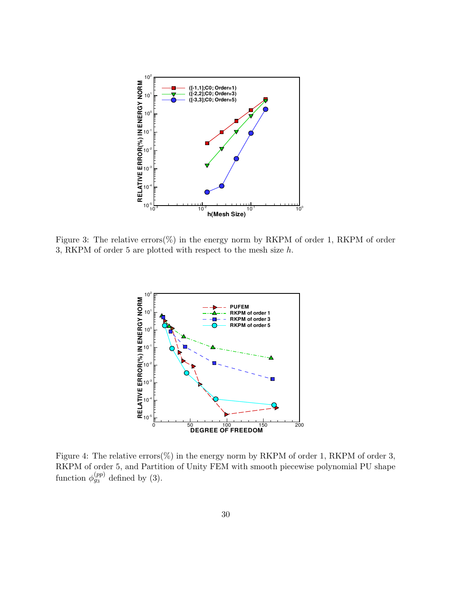

Figure 3: The relative errors(%) in the energy norm by RKPM of order 1, RKPM of order 3, RKPM of order 5 are plotted with respect to the mesh size  $h$ .



Figure 4: The relative errors(%) in the energy norm by RKPM of order 1, RKPM of order 3, RKPM of order 5, and Partition of Unity FEM with smooth piecewise polynomial PU shape function  $\phi_{g_3}^{(pp)}$  defined by (3).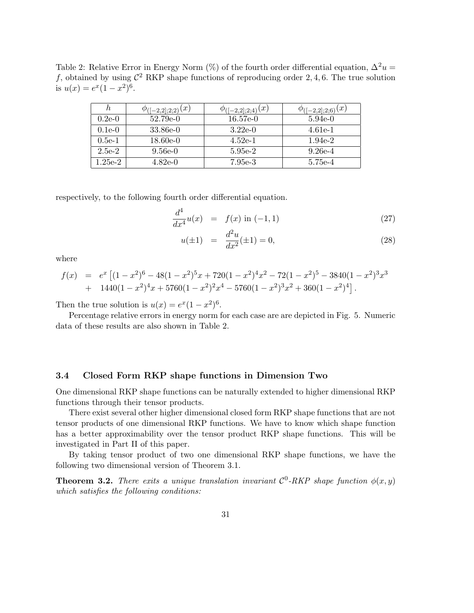Table 2: Relative Error in Energy Norm (%) of the fourth order differential equation,  $\Delta^2 u =$ f, obtained by using  $\mathcal{C}^2$  RKP shape functions of reproducing order 2,4,6. The true solution is  $u(x) = e^x(1 - x^2)^6$ .

| n.            | $(-2,2];2;2)(x)$ | (x)<br>$([-2,2];2;4)$ | (x)<br>$([-2,2];2;6)$ |
|---------------|------------------|-----------------------|-----------------------|
| $0.2e-0$      | 52.79e-0         | $16.57e-0$            | $5.94e-0$             |
| $0.1e-0$      | 33.86e-0         | $3.22e-0$             | $4.61e-1$             |
| $0.5e-1$      | $18.60e-0$       | $4.52e-1$             | $1.94e-2$             |
| $2.5e-2$      | $9.56e-0$        | 5.95e-2               | $9.26e-4$             |
| $1.25$ e- $2$ | 4.82e-0          | 7.95e-3               | 5.75e-4               |

respectively, to the following fourth order differential equation.

$$
\frac{d^4}{dx^4}u(x) = f(x) \text{ in } (-1,1)
$$
\n(27)

$$
u(\pm 1) = \frac{d^2u}{dx^2}(\pm 1) = 0,
$$
\n(28)

where

$$
f(x) = e^x \left[ (1-x^2)^6 - 48(1-x^2)^5 x + 720(1-x^2)^4 x^2 - 72(1-x^2)^5 - 3840(1-x^2)^3 x^3 + 1440(1-x^2)^4 x + 5760(1-x^2)^2 x^4 - 5760(1-x^2)^3 x^2 + 360(1-x^2)^4 \right].
$$

Then the true solution is  $u(x) = e^x(1 - x^2)^6$ .

Percentage relative errors in energy norm for each case are are depicted in Fig. 5. Numeric data of these results are also shown in Table 2.

#### 3.4 Closed Form RKP shape functions in Dimension Two

One dimensional RKP shape functions can be naturally extended to higher dimensional RKP functions through their tensor products.

There exist several other higher dimensional closed form RKP shape functions that are not tensor products of one dimensional RKP functions. We have to know which shape function has a better approximability over the tensor product RKP shape functions. This will be investigated in Part II of this paper.

By taking tensor product of two one dimensional RKP shape functions, we have the following two dimensional version of Theorem 3.1.

**Theorem 3.2.** There exits a unique translation invariant  $\mathcal{C}^0$ -RKP shape function  $\phi(x, y)$ which satisfies the following conditions: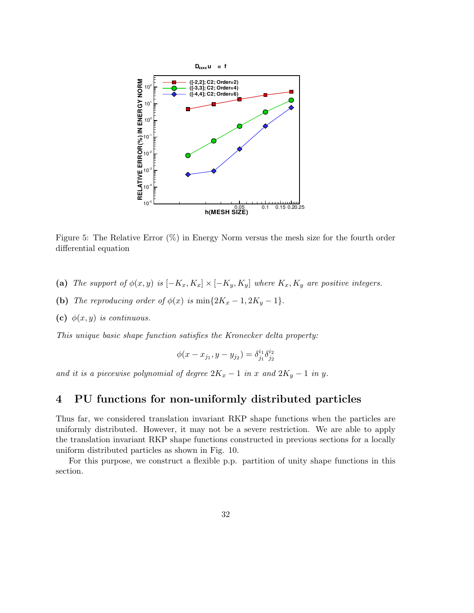

Figure 5: The Relative Error (%) in Energy Norm versus the mesh size for the fourth order differential equation

- (a) The support of  $\phi(x, y)$  is  $[-K_x, K_x] \times [-K_y, K_y]$  where  $K_x, K_y$  are positive integers.
- (b) The reproducing order of  $\phi(x)$  is  $\min\{2K_x-1, 2K_y-1\}.$
- (c)  $\phi(x, y)$  is continuous.

This unique basic shape function satisfies the Kronecker delta property:

$$
\phi(x - x_{j_1}, y - y_{j_2}) = \delta_{j_1}^{i_1} \delta_{j_2}^{i_2}
$$

and it is a piecewise polynomial of degree  $2K_x - 1$  in x and  $2K_y - 1$  in y.

# 4 PU functions for non-uniformly distributed particles

Thus far, we considered translation invariant RKP shape functions when the particles are uniformly distributed. However, it may not be a severe restriction. We are able to apply the translation invariant RKP shape functions constructed in previous sections for a locally uniform distributed particles as shown in Fig. 10.

For this purpose, we construct a flexible p.p. partition of unity shape functions in this section.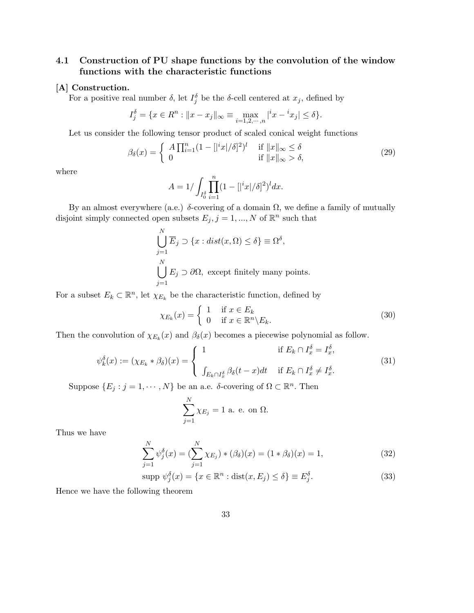# 4.1 Construction of PU shape functions by the convolution of the window functions with the characteristic functions

#### [A] Construction.

For a positive real number  $\delta$ , let  $I_j^{\delta}$  be the  $\delta$ -cell centered at  $x_j$ , defined by

$$
I_j^{\delta} = \{ x \in R^n : ||x - x_j||_{\infty} \equiv \max_{i=1,2,\cdots,n} |^{i} x - {^{i}x_j}| \le \delta \}.
$$

Let us consider the following tensor product of scaled conical weight functions

$$
\beta_{\delta}(x) = \begin{cases} A \prod_{i=1}^{n} (1 - (|{}^{i}x| / \delta)^{2})^{l} & \text{if } ||x||_{\infty} \le \delta \\ 0 & \text{if } ||x||_{\infty} > \delta, \end{cases}
$$
(29)

where

$$
A = 1 / \int_{I_0^{\delta}} \prod_{i=1}^n (1 - [ |^i x | / \delta ]^2 )^l dx.
$$

By an almost everywhere (a.e.)  $\delta$ -covering of a domain  $\Omega$ , we define a family of mutually disjoint simply connected open subsets  $E_j$ ,  $j = 1, ..., N$  of  $\mathbb{R}^n$  such that

$$
\bigcup_{j=1}^{N} \overline{E}_j \supset \{x : dist(x, \Omega) \le \delta\} \equiv \Omega^{\delta},
$$
  

$$
\bigcup_{j=1}^{N} E_j \supset \partial \Omega, \text{ except finitely many points.}
$$

For a subset  $E_k \subset \mathbb{R}^n$ , let  $\chi_{E_k}$  be the characteristic function, defined by

$$
\chi_{E_k}(x) = \begin{cases} 1 & \text{if } x \in E_k \\ 0 & \text{if } x \in \mathbb{R}^n \backslash E_k. \end{cases}
$$
 (30)

Then the convolution of  $\chi_{E_k}(x)$  and  $\beta_{\delta}(x)$  becomes a piecewise polynomial as follow.

$$
\psi_k^{\delta}(x) := (\chi_{E_k} * \beta_{\delta})(x) = \begin{cases} 1 & \text{if } E_k \cap I_x^{\delta} = I_x^{\delta}, \\ \int_{E_k \cap I_x^{\delta}} \beta_{\delta}(t-x) dt & \text{if } E_k \cap I_x^{\delta} \neq I_x^{\delta}. \end{cases}
$$
(31)

Suppose  $\{E_j : j = 1, \dots, N\}$  be an a.e. δ-covering of  $\Omega \subset \mathbb{R}^n$ . Then

$$
\sum_{j=1}^{N} \chi_{E_j} = 1
$$
 a. e. on  $\Omega$ .

Thus we have

$$
\sum_{j=1}^{N} \psi_j^{\delta}(x) = \left(\sum_{j=1}^{N} \chi_{E_j}\right) * (\beta_{\delta})(x) = (1 * \beta_{\delta})(x) = 1,\tag{32}
$$

$$
\text{supp } \psi_j^{\delta}(x) = \{ x \in \mathbb{R}^n : \text{dist}(x, E_j) \le \delta \} \equiv E_j^{\delta}.
$$
\n(33)

Hence we have the following theorem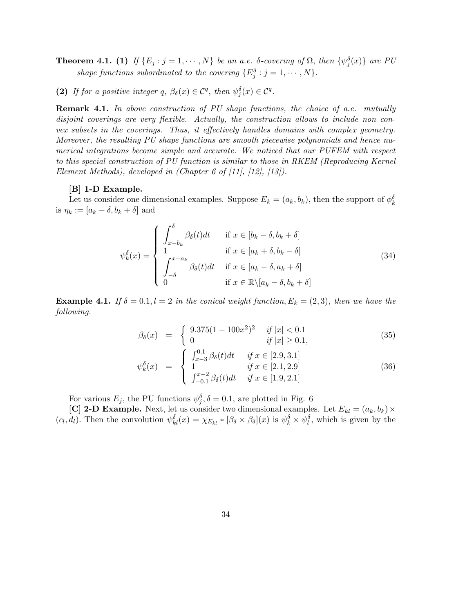**Theorem 4.1.** (1) If  $\{E_j : j = 1, \dots, N\}$  be an a.e. δ-covering of  $\Omega$ , then  $\{\psi_j^{\delta}(x)\}\$  are PU shape functions subordinated to the covering  $\{E_j^{\delta} : j = 1, \cdots, N\}.$ 

(2) If for a positive integer q,  $\beta_{\delta}(x) \in C^q$ , then  $\psi_j^{\delta}(x) \in C^q$ .

**Remark 4.1.** In above construction of PU shape functions, the choice of a.e. mutually disjoint coverings are very flexible. Actually, the construction allows to include non convex subsets in the coverings. Thus, it effectively handles domains with complex geometry. Moreover, the resulting PU shape functions are smooth piecewise polynomials and hence numerical integrations become simple and accurate. We noticed that our PUFEM with respect to this special construction of PU function is similar to those in RKEM (Reproducing Kernel Element Methods), developed in  $(Chapter 6 of [11], [12], [13]).$ 

#### [B] 1-D Example.

Let us consider one dimensional examples. Suppose  $E_k = (a_k, b_k)$ , then the support of  $\phi_k^{\delta}$ is  $\eta_k := [a_k - \delta, b_k + \delta]$  and

$$
\psi_k^{\delta}(x) = \begin{cases}\n\int_{x-b_k}^{\delta} \beta_{\delta}(t)dt & \text{if } x \in [b_k - \delta, b_k + \delta] \\
1 & \text{if } x \in [a_k + \delta, b_k - \delta] \\
\int_{-\delta}^{x-a_k} \beta_{\delta}(t)dt & \text{if } x \in [a_k - \delta, a_k + \delta] \\
0 & \text{if } x \in \mathbb{R} \setminus [a_k - \delta, b_k + \delta]\n\end{cases}
$$
\n(34)

**Example 4.1.** If  $\delta = 0.1, l = 2$  in the conical weight function,  $E_k = (2, 3)$ , then we have the following.

$$
\beta_{\delta}(x) = \begin{cases} 9.375(1 - 100x^2)^2 & \text{if } |x| < 0.1\\ 0 & \text{if } |x| \ge 0.1, \end{cases}
$$
\n(35)

$$
\psi_k^{\delta}(x) = \begin{cases}\n\int_{x-3}^{0.1} \beta_{\delta}(t)dt & \text{if } x \in [2.9, 3.1] \\
1 & \text{if } x \in [2.1, 2.9] \\
\int_{-0.1}^{x-2} \beta_{\delta}(t)dt & \text{if } x \in [1.9, 2.1]\n\end{cases}
$$
\n(36)

For various  $E_j$ , the PU functions  $\psi_j^{\delta}$ ,  $\delta = 0.1$ , are plotted in Fig. 6

[C] 2-D Example. Next, let us consider two dimensional examples. Let  $E_{kl} = (a_k, b_k) \times$  $(c_l, d_l)$ . Then the convolution  $\psi_{kl}^{\delta}(x) = \chi_{E_{kl}} * [\beta_{\delta} \times \beta_{\delta}](x)$  is  $\psi_k^{\delta} \times \psi_l^{\delta}$ , which is given by the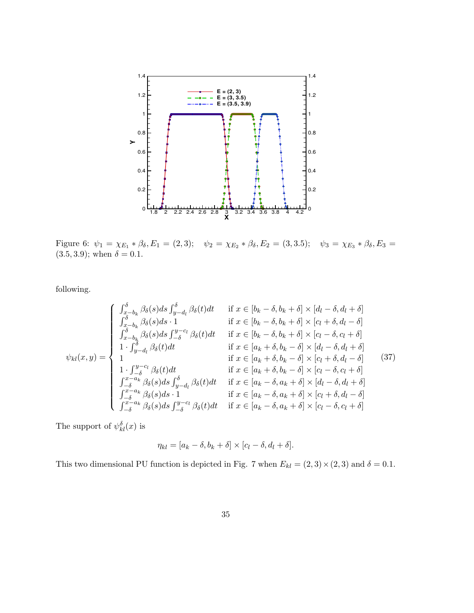

Figure 6:  $\psi_1 = \chi_{E_1} * \beta_{\delta}, E_1 = (2, 3); \quad \psi_2 = \chi_{E_2} * \beta_{\delta}, E_2 = (3, 3.5); \quad \psi_3 = \chi_{E_3} * \beta_{\delta}, E_3 =$  $(3.5, 3.9)$ ; when  $\delta = 0.1$ .

following.

$$
\psi_{kl}(x,y) = \begin{cases}\n\int_{x-b_k}^{\delta} \beta_{\delta}(s) ds \int_{y-d_l}^{\delta} \beta_{\delta}(t) dt & \text{if } x \in [b_k - \delta, b_k + \delta] \times [d_l - \delta, d_l + \delta] \\
\int_{x-b_k}^{\delta} \beta_{\delta}(s) ds \cdot 1 & \text{if } x \in [b_k - \delta, b_k + \delta] \times [c_l + \delta, d_l - \delta] \\
\int_{x-b_k}^{\delta} \beta_{\delta}(s) ds \int_{-\delta}^{y-c_l} \beta_{\delta}(t) dt & \text{if } x \in [b_k - \delta, b_k + \delta] \times [c_l - \delta, c_l + \delta] \\
1 \cdot \int_{y-d_l}^{\delta} \beta_{\delta}(t) dt & \text{if } x \in [a_k + \delta, b_k - \delta] \times [d_l - \delta, d_l + \delta] \\
1 \cdot \int_{-\delta}^{y-c_l} \beta_{\delta}(t) dt & \text{if } x \in [a_k + \delta, b_k - \delta] \times [c_l + \delta, d_l - \delta] \\
1 \cdot \int_{-\delta}^{y-c_l} \beta_{\delta}(t) dt & \text{if } x \in [a_k + \delta, b_k - \delta] \times [c_l - \delta, c_l + \delta] \\
\int_{-\delta}^{x-a_k} \beta_{\delta}(s) ds \int_{y-d_l}^{\delta} \beta_{\delta}(t) dt & \text{if } x \in [a_k - \delta, a_k + \delta] \times [d_l - \delta, d_l + \delta] \\
\int_{-\delta}^{x-a_k} \beta_{\delta}(s) ds \cdot 1 & \text{if } x \in [a_k - \delta, a_k + \delta] \times [c_l + \delta, d_l - \delta] \\
\int_{-\delta}^{x-a_k} \beta_{\delta}(s) ds \int_{-\delta}^{y-c_l} \beta_{\delta}(t) dt & \text{if } x \in [a_k - \delta, a_k + \delta] \times [c_l - \delta, c_l + \delta]\n\end{cases}
$$

The support of  $\psi_{kl}^{\delta}(x)$  is

$$
\eta_{kl} = [a_k - \delta, b_k + \delta] \times [c_l - \delta, d_l + \delta].
$$

This two dimensional PU function is depicted in Fig. 7 when  $E_{kl} = (2, 3) \times (2, 3)$  and  $\delta = 0.1$ .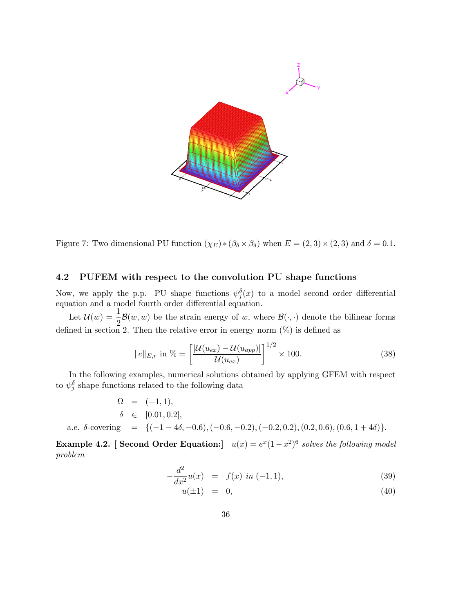

Figure 7: Two dimensional PU function  $(\chi_E) * (\beta_\delta \times \beta_\delta)$  when  $E = (2, 3) \times (2, 3)$  and  $\delta = 0.1$ .

## 4.2 PUFEM with respect to the convolution PU shape functions

Now, we apply the p.p. PU shape functions  $\psi_j^{\delta}(x)$  to a model second order differential equation and a model fourth order differential equation.

Let  $\mathcal{U}(w) = \frac{1}{2}$  $\frac{1}{2}$ B(w, w) be the strain energy of w, where  $B(\cdot, \cdot)$  denote the bilinear forms defined in section 2. Then the relative error in energy norm (%) is defined as

$$
\|e\|_{E,r} \text{ in } \% = \left[\frac{|\mathcal{U}(u_{ex}) - \mathcal{U}(u_{app})|}{\mathcal{U}(u_{ex})}\right]^{1/2} \times 100. \tag{38}
$$

In the following examples, numerical solutions obtained by applying GFEM with respect to  $\psi_j^{\delta}$  shape functions related to the following data

$$
\Omega = (-1, 1), \n\delta \in [0.01, 0.2], \na.e.  $\delta$ -covering = {(-1 - 4\delta, -0.6), (-0.6, -0.2), (-0.2, 0.2), (0.2, 0.6), (0.6, 1 + 4\delta)}.
$$

**Example 4.2.** [ Second Order Equation:]  $u(x) = e^x(1-x^2)^6$  solves the following model problem

$$
-\frac{d^2}{dx^2}u(x) = f(x) \text{ in } (-1,1), \tag{39}
$$

$$
u(\pm 1) = 0,\t(40)
$$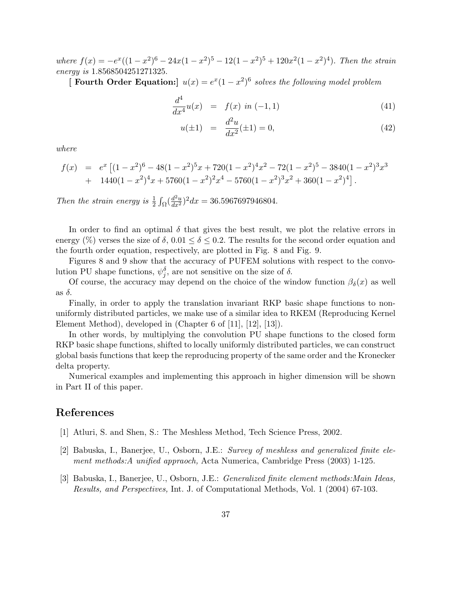where  $f(x) = -e^x((1-x^2)^6 - 24x(1-x^2)^5 - 12(1-x^2)^5 + 120x^2(1-x^2)^4)$ . Then the strain energy is 1.8568504251271325.

[ Fourth Order Equation:]  $u(x) = e^x(1-x^2)^6$  solves the following model problem

$$
\frac{d^4}{dx^4}u(x) = f(x) \text{ in } (-1,1) \tag{41}
$$

$$
u(\pm 1) = \frac{d^2u}{dx^2}(\pm 1) = 0,
$$
\n(42)

where

$$
f(x) = e^x \left[ (1-x^2)^6 - 48(1-x^2)^5 x + 720(1-x^2)^4 x^2 - 72(1-x^2)^5 - 3840(1-x^2)^3 x^3 + 1440(1-x^2)^4 x + 5760(1-x^2)^2 x^4 - 5760(1-x^2)^3 x^2 + 360(1-x^2)^4 \right].
$$

Then the strain energy is  $\frac{1}{2} \int_{\Omega} (\frac{d^2 u}{dx^2})^2 dx = 36.5967697946804$ .

In order to find an optimal  $\delta$  that gives the best result, we plot the relative errors in energy (%) verses the size of  $\delta$ ,  $0.01 \le \delta \le 0.2$ . The results for the second order equation and the fourth order equation, respectively, are plotted in Fig. 8 and Fig. 9.

Figures 8 and 9 show that the accuracy of PUFEM solutions with respect to the convolution PU shape functions,  $\psi_j^{\delta}$ , are not sensitive on the size of  $\delta$ .

Of course, the accuracy may depend on the choice of the window function  $\beta_{\delta}(x)$  as well as  $\delta$ .

Finally, in order to apply the translation invariant RKP basic shape functions to nonuniformly distributed particles, we make use of a similar idea to RKEM (Reproducing Kernel Element Method), developed in (Chapter 6 of [11], [12], [13]).

In other words, by multiplying the convolution PU shape functions to the closed form RKP basic shape functions, shifted to locally uniformly distributed particles, we can construct global basis functions that keep the reproducing property of the same order and the Kronecker delta property.

Numerical examples and implementing this approach in higher dimension will be shown in Part II of this paper.

# References

- [1] Atluri, S. and Shen, S.: The Meshless Method, Tech Science Press, 2002.
- [2] Babuska, I., Banerjee, U., Osborn, J.E.: Survey of meshless and generalized finite element methods:A unified appraoch, Acta Numerica, Cambridge Press (2003) 1-125.
- [3] Babuska, I., Banerjee, U., Osborn, J.E.: Generalized finite element methods:Main Ideas, Results, and Perspectives, Int. J. of Computational Methods, Vol. 1 (2004) 67-103.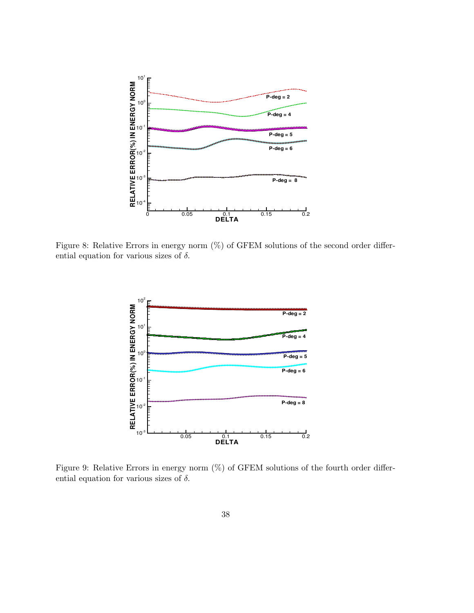

Figure 8: Relative Errors in energy norm (%) of GFEM solutions of the second order differential equation for various sizes of  $\delta$ .



Figure 9: Relative Errors in energy norm  $(\%)$  of GFEM solutions of the fourth order differential equation for various sizes of  $\delta$ .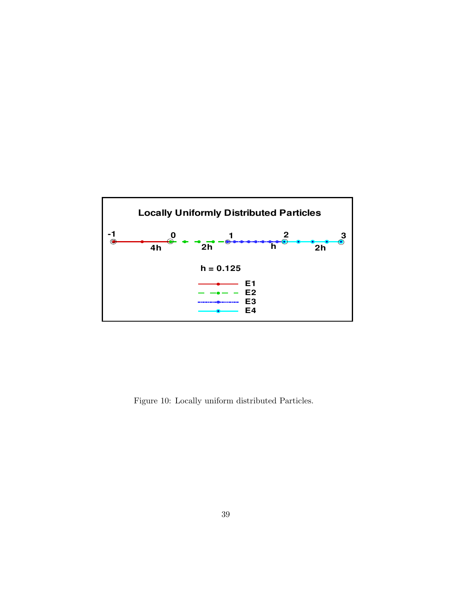

Figure 10: Locally uniform distributed Particles.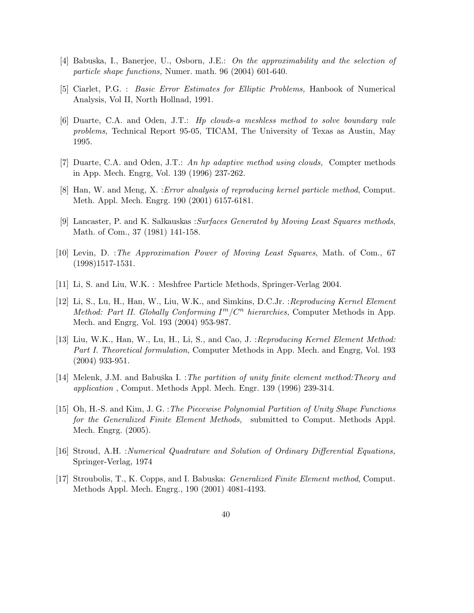- [4] Babuska, I., Banerjee, U., Osborn, J.E.: On the approximability and the selection of particle shape functions, Numer. math. 96 (2004) 601-640.
- [5] Ciarlet, P.G. : Basic Error Estimates for Elliptic Problems, Hanbook of Numerical Analysis, Vol II, North Hollnad, 1991.
- [6] Duarte, C.A. and Oden, J.T.: Hp clouds-a meshless method to solve boundary vale problems, Technical Report 95-05, TICAM, The University of Texas as Austin, May 1995.
- [7] Duarte, C.A. and Oden, J.T.: An hp adaptive method using clouds, Compter methods in App. Mech. Engrg, Vol. 139 (1996) 237-262.
- [8] Han, W. and Meng, X. :Error alnalysis of reproducing kernel particle method, Comput. Meth. Appl. Mech. Engrg. 190 (2001) 6157-6181.
- [9] Lancaster, P. and K. Salkauskas :Surfaces Generated by Moving Least Squares methods, Math. of Com., 37 (1981) 141-158.
- [10] Levin, D. :The Approximation Power of Moving Least Squares, Math. of Com., 67 (1998)1517-1531.
- [11] Li, S. and Liu, W.K. : Meshfree Particle Methods, Springer-Verlag 2004.
- [12] Li, S., Lu, H., Han, W., Liu, W.K., and Simkins, D.C.Jr. : Reproducing Kernel Element Method: Part II. Globally Conforming  $I^m/C^n$  hierarchies, Computer Methods in App. Mech. and Engrg, Vol. 193 (2004) 953-987.
- [13] Liu, W.K., Han, W., Lu, H., Li, S., and Cao, J. : Reproducing Kernel Element Method: Part I. Theoretical formulation, Computer Methods in App. Mech. and Engrg, Vol. 193 (2004) 933-951.
- [14] Melenk, J.M. and Babuška I. :The partition of unity finite element method: Theory and application , Comput. Methods Appl. Mech. Engr. 139 (1996) 239-314.
- [15] Oh, H.-S. and Kim, J. G. :The Piecewise Polynomial Partition of Unity Shape Functions for the Generalized Finite Element Methods, submitted to Comput. Methods Appl. Mech. Engrg. (2005).
- [16] Stroud, A.H. :Numerical Quadrature and Solution of Ordinary Differential Equations, Springer-Verlag, 1974
- [17] Stroubolis, T., K. Copps, and I. Babuska: Generalized Finite Element method, Comput. Methods Appl. Mech. Engrg., 190 (2001) 4081-4193.